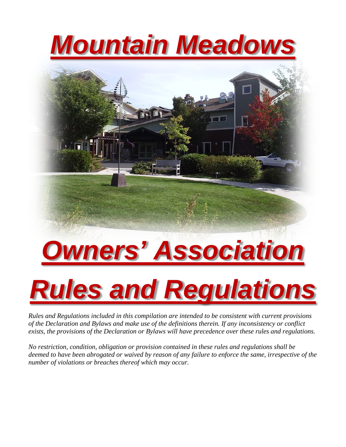## *Mountain Meadows*



## *Owners' Association*

# *Rules and Regulations*

*Rules and Regulations included in this compilation are intended to be consistent with current provisions of the Declaration and Bylaws and make use of the definitions therein. If any inconsistency or conflict exists, the provisions of the Declaration or Bylaws will have precedence over these rules and regulations.*

*No restriction, condition, obligation or provision contained in these rules and regulations shall be deemed to have been abrogated or waived by reason of any failure to enforce the same, irrespective of the number of violations or breaches thereof which may occur.*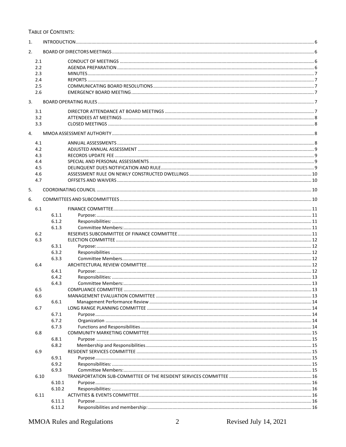#### TABLE OF CONTENTS:

| 1. |      |        |  |  |  |
|----|------|--------|--|--|--|
| 2. |      |        |  |  |  |
|    | 2.1  |        |  |  |  |
|    | 2.2  |        |  |  |  |
|    | 2.3  |        |  |  |  |
|    | 2.4  |        |  |  |  |
|    | 2.5  |        |  |  |  |
|    | 2.6  |        |  |  |  |
| 3. |      |        |  |  |  |
|    | 3.1  |        |  |  |  |
|    | 3.2  |        |  |  |  |
|    | 3.3  |        |  |  |  |
|    |      |        |  |  |  |
| 4. |      |        |  |  |  |
|    | 4.1  |        |  |  |  |
|    | 4.2  |        |  |  |  |
|    | 4.3  |        |  |  |  |
|    | 4.4  |        |  |  |  |
|    | 4.5  |        |  |  |  |
|    | 4.6  |        |  |  |  |
|    | 4.7  |        |  |  |  |
|    |      |        |  |  |  |
| 5. |      |        |  |  |  |
| 6. |      |        |  |  |  |
|    | 6.1  |        |  |  |  |
|    |      | 6.1.1  |  |  |  |
|    |      | 6.1.2  |  |  |  |
|    |      | 6.1.3  |  |  |  |
|    | 6.2  |        |  |  |  |
|    | 6.3  |        |  |  |  |
|    |      | 6.3.1  |  |  |  |
|    |      | 6.3.2  |  |  |  |
|    |      | 6.3.3  |  |  |  |
|    | 6.4  |        |  |  |  |
|    |      | 6.4.1  |  |  |  |
|    |      | 6.4.2  |  |  |  |
|    |      | 6.4.3  |  |  |  |
|    | 6.5  |        |  |  |  |
|    | 6.6  |        |  |  |  |
|    |      | 6.6.1  |  |  |  |
|    | 6.7  |        |  |  |  |
|    |      | 6.7.1  |  |  |  |
|    |      | 6.7.2  |  |  |  |
|    |      | 6.7.3  |  |  |  |
|    | 6.8  |        |  |  |  |
|    |      | 6.8.1  |  |  |  |
|    |      | 6.8.2  |  |  |  |
|    | 6.9  |        |  |  |  |
|    |      | 6.9.1  |  |  |  |
|    |      | 6.9.2  |  |  |  |
|    |      | 6.9.3  |  |  |  |
|    | 6.10 |        |  |  |  |
|    |      |        |  |  |  |
|    |      | 6.10.1 |  |  |  |
|    |      | 6.10.2 |  |  |  |
|    | 6.11 |        |  |  |  |
|    |      | 6.11.1 |  |  |  |
|    |      | 6.11.2 |  |  |  |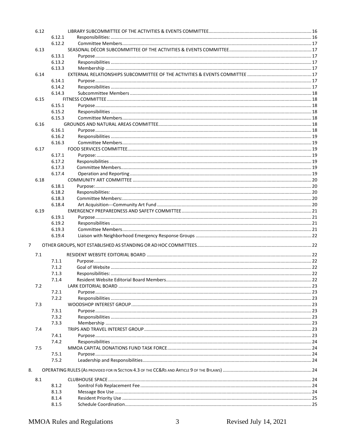| 6.12 |        |            |
|------|--------|------------|
|      | 6.12.1 |            |
|      | 6.12.2 |            |
| 6.13 |        |            |
|      | 6.13.1 |            |
|      | 6.13.2 |            |
|      | 6.13.3 |            |
| 6.14 |        |            |
|      |        |            |
|      | 6.14.1 |            |
|      | 6.14.2 |            |
|      | 6.14.3 |            |
| 6.15 |        |            |
|      | 6.15.1 |            |
|      | 6.15.2 |            |
|      | 6.15.3 |            |
| 6.16 |        |            |
|      | 6.16.1 |            |
|      | 6.16.2 |            |
|      |        |            |
|      | 6.16.3 |            |
| 6.17 |        |            |
|      | 6.17.1 |            |
|      | 6.17.2 |            |
|      | 6.17.3 |            |
|      | 6.17.4 |            |
| 6.18 |        |            |
|      |        |            |
|      | 6.18.1 |            |
|      | 6.18.2 |            |
|      | 6.18.3 |            |
|      | 6.18.4 |            |
| 6.19 |        |            |
|      | 6.19.1 |            |
|      | 6.19.2 |            |
|      | 6.19.3 |            |
|      |        |            |
|      | 6.19.4 |            |
| 7    |        |            |
| 7.1  |        |            |
|      | 7.1.1  |            |
|      | 7.1.2  |            |
|      |        |            |
|      | 7.1.3  |            |
|      | 7.1.4  | $\dots$ 22 |
| 7.2  |        |            |
|      | 7.2.1  |            |
|      | 7.2.2  |            |
| 7.3  |        |            |
|      | 7.3.1  |            |
|      | 7.3.2  |            |
|      |        |            |
|      | 7.3.3  |            |
| 7.4  |        |            |
|      | 7.4.1  |            |
|      | 7.4.2  |            |
| 7.5  |        |            |
|      | 7.5.1  |            |
|      | 7.5.2  |            |
|      |        |            |
| 8.   |        |            |
| 8.1  |        |            |
|      | 8.1.2  |            |
|      | 8.1.3  |            |
|      | 8.1.4  |            |
|      | 8.1.5  |            |
|      |        |            |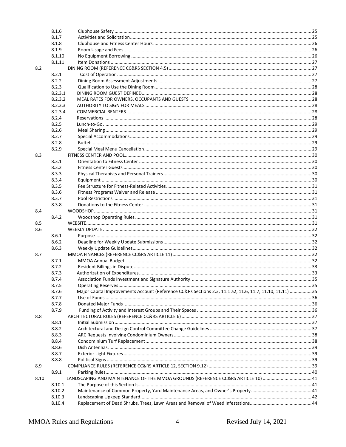|      | 8.1.6   |                                                                                                         |  |
|------|---------|---------------------------------------------------------------------------------------------------------|--|
|      | 8.1.7   |                                                                                                         |  |
|      | 8.1.8   |                                                                                                         |  |
|      | 8.1.9   |                                                                                                         |  |
|      | 8.1.10  |                                                                                                         |  |
|      | 8.1.11  |                                                                                                         |  |
| 8.2  |         |                                                                                                         |  |
|      | 8.2.1   |                                                                                                         |  |
|      | 8.2.2   |                                                                                                         |  |
|      | 8.2.3   |                                                                                                         |  |
|      | 8.2.3.1 |                                                                                                         |  |
|      | 8.2.3.2 |                                                                                                         |  |
|      | 8.2.3.3 |                                                                                                         |  |
|      | 8.2.3.4 |                                                                                                         |  |
|      | 8.2.4   |                                                                                                         |  |
|      | 8.2.5   |                                                                                                         |  |
|      | 8.2.6   |                                                                                                         |  |
|      | 8.2.7   |                                                                                                         |  |
|      | 8.2.8   |                                                                                                         |  |
|      | 8.2.9   |                                                                                                         |  |
| 8.3  |         |                                                                                                         |  |
|      | 8.3.1   |                                                                                                         |  |
|      | 8.3.2   |                                                                                                         |  |
|      | 8.3.3   |                                                                                                         |  |
|      | 8.3.4   |                                                                                                         |  |
|      | 8.3.5   |                                                                                                         |  |
|      | 8.3.6   |                                                                                                         |  |
|      | 8.3.7   |                                                                                                         |  |
|      | 8.3.8   |                                                                                                         |  |
| 8.4  |         |                                                                                                         |  |
|      | 8.4.2   |                                                                                                         |  |
|      |         |                                                                                                         |  |
| 8.5  |         |                                                                                                         |  |
| 8.6  |         |                                                                                                         |  |
|      | 8.6.1   |                                                                                                         |  |
|      | 8.6.2   |                                                                                                         |  |
|      | 8.6.3   |                                                                                                         |  |
| 8.7  |         |                                                                                                         |  |
|      | 8.7.1   |                                                                                                         |  |
|      | 8.7.2   |                                                                                                         |  |
|      | 8.7.3   |                                                                                                         |  |
|      | 8.7.4   |                                                                                                         |  |
|      | 8.7.5   |                                                                                                         |  |
|      | 8.7.6   | Major Capital Improvements Account (Reference CC&Rs Sections 2.3, 11.1 a2, 11.6, 11.7, 11.10, 11.11) 35 |  |
|      | 8.7.7   |                                                                                                         |  |
|      | 8.7.8   |                                                                                                         |  |
|      | 8.7.9   |                                                                                                         |  |
| 8.8  |         |                                                                                                         |  |
|      | 8.8.1   |                                                                                                         |  |
|      | 8.8.2   |                                                                                                         |  |
|      | 8.8.3   |                                                                                                         |  |
|      | 8.8.4   |                                                                                                         |  |
|      | 8.8.6   |                                                                                                         |  |
|      | 8.8.7   |                                                                                                         |  |
|      | 8.8.8   |                                                                                                         |  |
| 8.9  |         |                                                                                                         |  |
|      | 8.9.1   |                                                                                                         |  |
| 8.10 |         | LANDSCAPING AND MAINTENANCE OF THE MMOA GROUNDS (REFERENCE CC&RS ARTICLE 10)  41                        |  |
|      | 8.10.1  |                                                                                                         |  |
|      | 8.10.2  |                                                                                                         |  |
|      | 8.10.3  |                                                                                                         |  |
|      | 8.10.4  |                                                                                                         |  |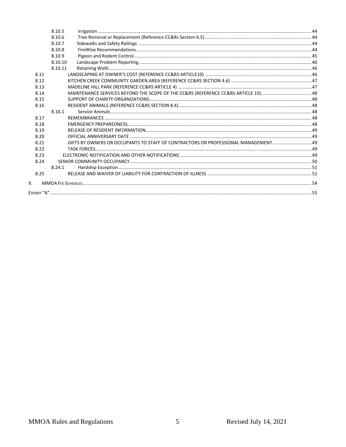|      | 8.10.5  |                                                                                 |  |
|------|---------|---------------------------------------------------------------------------------|--|
|      | 8.10.6  |                                                                                 |  |
|      | 8.10.7  |                                                                                 |  |
|      | 8.10.8  |                                                                                 |  |
|      | 8.10.9  |                                                                                 |  |
|      | 8.10.10 |                                                                                 |  |
|      | 8.10.11 |                                                                                 |  |
| 8.11 |         |                                                                                 |  |
| 8.12 |         |                                                                                 |  |
| 8.13 |         |                                                                                 |  |
| 8.14 |         |                                                                                 |  |
| 8.15 |         |                                                                                 |  |
| 8.16 |         |                                                                                 |  |
|      | 8.16.1  |                                                                                 |  |
| 8.17 |         |                                                                                 |  |
| 8.18 |         |                                                                                 |  |
| 8.19 |         |                                                                                 |  |
| 8.20 |         |                                                                                 |  |
| 8.21 |         | GIFTS BY OWNERS OR OCCUPANTS TO STAFF OF CONTRACTORS OR PROFESSIONAL MANAGEMENT |  |
| 8.22 |         |                                                                                 |  |
| 8.23 |         |                                                                                 |  |
| 8.24 |         |                                                                                 |  |
|      | 8.24.1  |                                                                                 |  |
| 8.25 |         |                                                                                 |  |
| 9.   |         |                                                                                 |  |
|      |         |                                                                                 |  |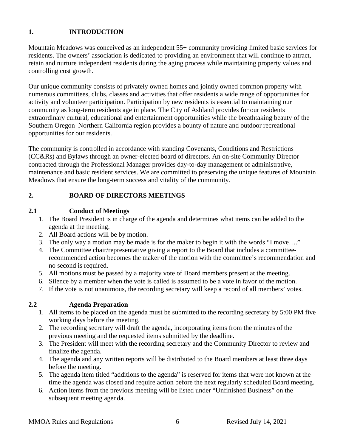## <span id="page-5-0"></span>**1. INTRODUCTION**

Mountain Meadows was conceived as an independent 55+ community providing limited basic services for residents. The owners' association is dedicated to providing an environment that will continue to attract, retain and nurture independent residents during the aging process while maintaining property values and controlling cost growth.

Our unique community consists of privately owned homes and jointly owned common property with numerous committees, clubs, classes and activities that offer residents a wide range of opportunities for activity and volunteer participation. Participation by new residents is essential to maintaining our community as long-term residents age in place. The City of Ashland provides for our residents extraordinary cultural, educational and entertainment opportunities while the breathtaking beauty of the Southern Oregon–Northern California region provides a bounty of nature and outdoor recreational opportunities for our residents.

The community is controlled in accordance with standing Covenants, Conditions and Restrictions (CC&Rs) and Bylaws through an owner-elected board of directors. An on-site Community Director contracted through the Professional Manager provides day-to-day management of administrative, maintenance and basic resident services. We are committed to preserving the unique features of Mountain Meadows that ensure the long-term success and vitality of the community.

## <span id="page-5-1"></span>**2. BOARD OF DIRECTORS MEETINGS**

## <span id="page-5-2"></span>**2.1 Conduct of Meetings**

- 1. The Board President is in charge of the agenda and determines what items can be added to the agenda at the meeting.
- 2. All Board actions will be by motion.
- 3. The only way a motion may be made is for the maker to begin it with the words "I move…."
- 4. The Committee chair/representative giving a report to the Board that includes a committeerecommended action becomes the maker of the motion with the committee's recommendation and no second is required.
- 5. All motions must be passed by a majority vote of Board members present at the meeting.
- 6. Silence by a member when the vote is called is assumed to be a vote in favor of the motion.
- 7. If the vote is not unanimous, the recording secretary will keep a record of all members' votes.

## <span id="page-5-3"></span>**2.2 Agenda Preparation**

- 1. All items to be placed on the agenda must be submitted to the recording secretary by 5:00 PM five working days before the meeting.
- 2. The recording secretary will draft the agenda, incorporating items from the minutes of the previous meeting and the requested items submitted by the deadline.
- 3. The President will meet with the recording secretary and the Community Director to review and finalize the agenda.
- 4. The agenda and any written reports will be distributed to the Board members at least three days before the meeting.
- 5. The agenda item titled "additions to the agenda" is reserved for items that were not known at the time the agenda was closed and require action before the next regularly scheduled Board meeting.
- 6. Action items from the previous meeting will be listed under "Unfinished Business" on the subsequent meeting agenda.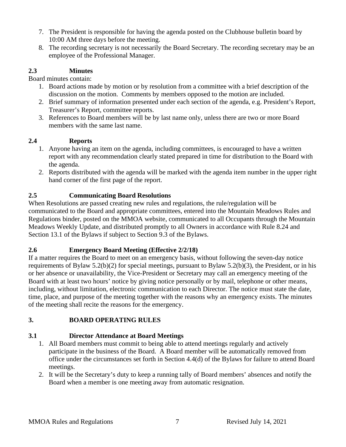- 7. The President is responsible for having the agenda posted on the Clubhouse bulletin board by 10:00 AM three days before the meeting.
- 8. The recording secretary is not necessarily the Board Secretary. The recording secretary may be an employee of the Professional Manager.

## <span id="page-6-0"></span>**2.3 Minutes**

Board minutes contain:

- 1. Board actions made by motion or by resolution from a committee with a brief description of the discussion on the motion. Comments by members opposed to the motion are included.
- 2. Brief summary of information presented under each section of the agenda, e.g. President's Report, Treasurer's Report, committee reports.
- 3. References to Board members will be by last name only, unless there are two or more Board members with the same last name.

## <span id="page-6-1"></span>**2.4 Reports**

- 1. Anyone having an item on the agenda, including committees, is encouraged to have a written report with any recommendation clearly stated prepared in time for distribution to the Board with the agenda.
- 2. Reports distributed with the agenda will be marked with the agenda item number in the upper right hand corner of the first page of the report.

## <span id="page-6-2"></span>**2.5 Communicating Board Resolutions**

When Resolutions are passed creating new rules and regulations, the rule/regulation will be communicated to the Board and appropriate committees, entered into the Mountain Meadows Rules and Regulations binder, posted on the MMOA website, communicated to all Occupants through the Mountain Meadows Weekly Update, and distributed promptly to all Owners in accordance with Rule 8.24 and Section 13.1 of the Bylaws if subject to Section 9.3 of the Bylaws.

## <span id="page-6-3"></span>**2.6 Emergency Board Meeting (Effective 2/2/18)**

If a matter requires the Board to meet on an emergency basis, without following the seven-day notice requirements of Bylaw 5.2(b)(2) for special meetings, pursuant to Bylaw 5.2(b)(3), the President, or in his or her absence or unavailability, the Vice-President or Secretary may call an emergency meeting of the Board with at least two hours' notice by giving notice personally or by mail, telephone or other means, including, without limitation, electronic communication to each Director. The notice must state the date, time, place, and purpose of the meeting together with the reasons why an emergency exists. The minutes of the meeting shall recite the reasons for the emergency.

## <span id="page-6-4"></span>**3. BOARD OPERATING RULES**

## <span id="page-6-5"></span>**3.1 Director Attendance at Board Meetings**

- 1. All Board members must commit to being able to attend meetings regularly and actively participate in the business of the Board. A Board member will be automatically removed from office under the circumstances set forth in Section 4.4(d) of the Bylaws for failure to attend Board meetings.
- 2. It will be the Secretary's duty to keep a running tally of Board members' absences and notify the Board when a member is one meeting away from automatic resignation.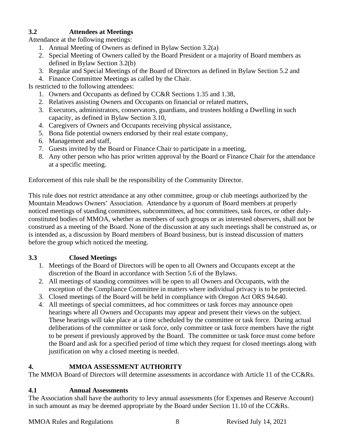## <span id="page-7-0"></span>**3.2 Attendees at Meetings**

Attendance at the following meetings:

- 1. Annual Meeting of Owners as defined in Bylaw Section 3.2(a)
- 2. Special Meeting of Owners called by the Board President or a majority of Board members as defined in Bylaw Section 3.2(b)
- 3. Regular and Special Meetings of the Board of Directors as defined in Bylaw Section 5.2 and
- 4. Finance Committee Meetings as called by the Chair.

Is restricted to the following attendees:

- 1. Owners and Occupants as defined by CC&R Sections 1.35 and 1.38,
- 2. Relatives assisting Owners and Occupants on financial or related matters,
- 3. Executors, administrators, conservators, guardians, and trustees holding a Dwelling in such capacity, as defined in Bylaw Section 3.10,
- 4. Caregivers of Owners and Occupants receiving physical assistance,
- 5. Bona fide potential owners endorsed by their real estate company,
- 6. Management and staff,
- 7. Guests invited by the Board or Finance Chair to participate in a meeting,
- 8. Any other person who has prior written approval by the Board or Finance Chair for the attendance at a specific meeting.

Enforcement of this rule shall be the responsibility of the Community Director.

This rule does not restrict attendance at any other committee, group or club meetings authorized by the Mountain Meadows Owners' Association. Attendance by a quorum of Board members at properly noticed meetings of standing committees, subcommittees, ad hoc committees, task forces, or other dulyconstituted bodies of MMOA, whether as members of such groups or as interested observers, shall not be construed as a meeting of the Board. None of the discussion at any such meetings shall be construed as, or is intended as, a discussion by Board members of Board business, but is instead discussion of matters before the group which noticed the meeting.

## <span id="page-7-1"></span>**3.3 Closed Meetings**

- 1. Meetings of the Board of Directors will be open to all Owners and Occupants except at the discretion of the Board in accordance with Section 5.6 of the Bylaws.
- 2. All meetings of standing committees will be open to all Owners and Occupants, with the exception of the Compliance Committee in matters where individual privacy is to be protected.
- 3. Closed meetings of the Board will be held in compliance with Oregon Act ORS 94.640.
- 4. All meetings of special committees, ad hoc committees or task forces may announce open hearings where all Owners and Occupants may appear and present their views on the subject. These hearings will take place at a time scheduled by the committee or task force. During actual deliberations of the committee or task force, only committee or task force members have the right to be present if previously approved by the Board. The committee or task force must come before the Board and ask for a specified period of time which they request for closed meetings along with justification on why a closed meeting is needed.

## <span id="page-7-2"></span>**4. MMOA ASSESSMENT AUTHORITY**

The MMOA Board of Directors will determine assessments in accordance with Article 11 of the CC&Rs.

## <span id="page-7-3"></span>**4.1 Annual Assessments**

The Association shall have the authority to levy annual assessments (for Expenses and Reserve Account) in such amount as may be deemed appropriate by the Board under Section 11.10 of the CC&Rs.

#### MMOA Rules and Regulations 8 Revised July 14, 2021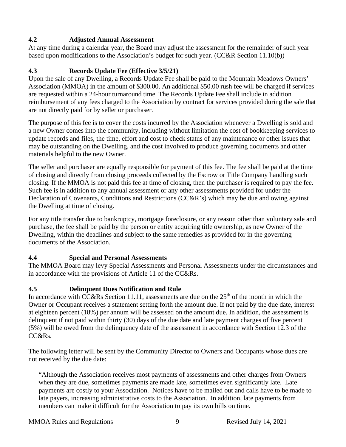## <span id="page-8-0"></span>**4.2 Adjusted Annual Assessment**

At any time during a calendar year, the Board may adjust the assessment for the remainder of such year based upon modifications to the Association's budget for such year. (CC&R Section 11.10(b))

## <span id="page-8-1"></span>**4.3 Records Update Fee (Effective 3/5/21)**

Upon the sale of any Dwelling, a Records Update Fee shall be paid to the Mountain Meadows Owners' Association (MMOA) in the amount of \$300.00. An additional \$50.00 rush fee will be charged if services are requested within a 24-hour turnaround time. The Records Update Fee shall include in addition reimbursement of any fees charged to the Association by contract for services provided during the sale that are not directly paid for by seller or purchaser.

The purpose of this fee is to cover the costs incurred by the Association whenever a Dwelling is sold and a new Owner comes into the community, including without limitation the cost of bookkeeping services to update records and files, the time, effort and cost to check status of any maintenance or other issues that may be outstanding on the Dwelling, and the cost involved to produce governing documents and other materials helpful to the new Owner.

The seller and purchaser are equally responsible for payment of this fee. The fee shall be paid at the time of closing and directly from closing proceeds collected by the Escrow or Title Company handling such closing. If the MMOA is not paid this fee at time of closing, then the purchaser is required to pay the fee. Such fee is in addition to any annual assessment or any other assessments provided for under the Declaration of Covenants, Conditions and Restrictions (CC&R's) which may be due and owing against the Dwelling at time of closing.

For any title transfer due to bankruptcy, mortgage foreclosure, or any reason other than voluntary sale and purchase, the fee shall be paid by the person or entity acquiring title ownership, as new Owner of the Dwelling, within the deadlines and subject to the same remedies as provided for in the governing documents of the Association.

## <span id="page-8-2"></span>**4.4 Special and Personal Assessments**

The MMOA Board may levy Special Assessments and Personal Assessments under the circumstances and in accordance with the provisions of Article 11 of the CC&Rs.

## <span id="page-8-3"></span>**4.5 Delinquent Dues Notification and Rule**

In accordance with CC&Rs Section 11.11, assessments are due on the  $25<sup>th</sup>$  of the month in which the Owner or Occupant receives a statement setting forth the amount due. If not paid by the due date, interest at eighteen percent (18%) per annum will be assessed on the amount due. In addition, the assessment is delinquent if not paid within thirty (30) days of the due date and late payment charges of five percent (5%) will be owed from the delinquency date of the assessment in accordance with Section 12.3 of the CC&R<sub>s</sub>

The following letter will be sent by the Community Director to Owners and Occupants whose dues are not received by the due date:

"Although the Association receives most payments of assessments and other charges from Owners when they are due, sometimes payments are made late, sometimes even significantly late. Late payments are costly to your Association. Notices have to be mailed out and calls have to be made to late payers, increasing administrative costs to the Association. In addition, late payments from members can make it difficult for the Association to pay its own bills on time.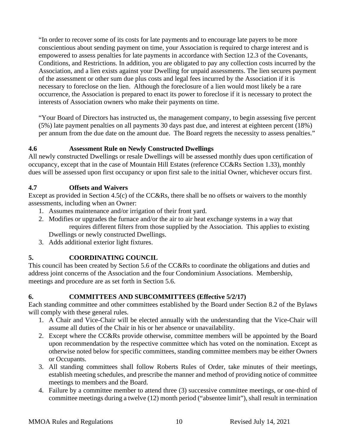"In order to recover some of its costs for late payments and to encourage late payers to be more conscientious about sending payment on time, your Association is required to charge interest and is empowered to assess penalties for late payments in accordance with Section 12.3 of the Covenants, Conditions, and Restrictions. In addition, you are obligated to pay any collection costs incurred by the Association, and a lien exists against your Dwelling for unpaid assessments. The lien secures payment of the assessment or other sum due plus costs and legal fees incurred by the Association if it is necessary to foreclose on the lien. Although the foreclosure of a lien would most likely be a rare occurrence, the Association is prepared to enact its power to foreclose if it is necessary to protect the interests of Association owners who make their payments on time.

"Your Board of Directors has instructed us, the management company, to begin assessing five percent (5%) late payment penalties on all payments 30 days past due, and interest at eighteen percent (18%) per annum from the due date on the amount due. The Board regrets the necessity to assess penalties."

## <span id="page-9-0"></span>**4.6 Assessment Rule on Newly Constructed Dwellings**

All newly constructed Dwellings or resale Dwellings will be assessed monthly dues upon certification of occupancy, except that in the case of Mountain Hill Estates (reference CC&Rs Section 1.33), monthly dues will be assessed upon first occupancy or upon first sale to the initial Owner, whichever occurs first.

## <span id="page-9-1"></span>**4.7 Offsets and Waivers**

Except as provided in Section 4.5(c) of the CC&Rs, there shall be no offsets or waivers to the monthly assessments, including when an Owner:

- 1. Assumes maintenance and/or irrigation of their front yard.
- 2. Modifies or upgrades the furnace and/or the air to air heat exchange systems in a way that requires different filters from those supplied by the Association. This applies to existing Dwellings or newly constructed Dwellings.
- 3. Adds additional exterior light fixtures.

## <span id="page-9-2"></span>**5. COORDINATING COUNCIL**

This council has been created by Section 5.6 of the CC&Rs to coordinate the obligations and duties and address joint concerns of the Association and the four Condominium Associations. Membership, meetings and procedure are as set forth in Section 5.6.

## <span id="page-9-3"></span>**6. COMMITTEES AND SUBCOMMITTEES (Effective 5/2/17)**

Each standing committee and other committees established by the Board under Section 8.2 of the Bylaws will comply with these general rules.

- 1. A Chair and Vice-Chair will be elected annually with the understanding that the Vice-Chair will assume all duties of the Chair in his or her absence or unavailability.
- 2. Except where the CC&Rs provide otherwise, committee members will be appointed by the Board upon recommendation by the respective committee which has voted on the nomination. Except as otherwise noted below for specific committees, standing committee members may be either Owners or Occupants.
- 3. All standing committees shall follow Roberts Rules of Order, take minutes of their meetings, establish meeting schedules, and prescribe the manner and method of providing notice of committee meetings to members and the Board.
- 4. Failure by a committee member to attend three (3) successive committee meetings, or one-third of committee meetings during a twelve (12) month period ("absentee limit"), shall result in termination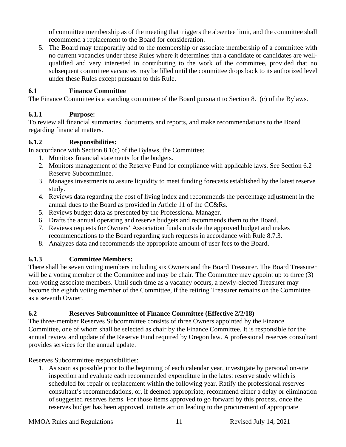of committee membership as of the meeting that triggers the absentee limit, and the committee shall recommend a replacement to the Board for consideration.

5. The Board may temporarily add to the membership or associate membership of a committee with no current vacancies under these Rules where it determines that a candidate or candidates are wellqualified and very interested in contributing to the work of the committee, provided that no subsequent committee vacancies may be filled until the committee drops back to its authorized level under these Rules except pursuant to this Rule.

## <span id="page-10-0"></span>**6.1 Finance Committee**

The Finance Committee is a standing committee of the Board pursuant to Section 8.1(c) of the Bylaws.

## <span id="page-10-1"></span>**6.1.1 Purpose:**

To review all financial summaries, documents and reports, and make recommendations to the Board regarding financial matters.

#### <span id="page-10-2"></span>**6.1.2 Responsibilities:**

In accordance with Section 8.1(c) of the Bylaws, the Committee:

- 1. Monitors financial statements for the budgets.
- 2. Monitors management of the Reserve Fund for compliance with applicable laws. See Section 6.2 Reserve Subcommittee.
- 3. Manages investments to assure liquidity to meet funding forecasts established by the latest reserve study.
- 4. Reviews data regarding the cost of living index and recommends the percentage adjustment in the annual dues to the Board as provided in Article 11 of the CC&Rs.
- 5. Reviews budget data as presented by the Professional Manager.
- 6. Drafts the annual operating and reserve budgets and recommends them to the Board.
- 7. Reviews requests for Owners' Association funds outside the approved budget and makes recommendations to the Board regarding such requests in accordance with Rule 8.7.3.
- 8. Analyzes data and recommends the appropriate amount of user fees to the Board.

## <span id="page-10-3"></span>**6.1.3 Committee Members:**

There shall be seven voting members including six Owners and the Board Treasurer. The Board Treasurer will be a voting member of the Committee and may be chair. The Committee may appoint up to three (3) non-voting associate members. Until such time as a vacancy occurs, a newly-elected Treasurer may become the eighth voting member of the Committee, if the retiring Treasurer remains on the Committee as a seventh Owner.

## <span id="page-10-4"></span>**6.2 Reserves Subcommittee of Finance Committee (Effective 2/2/18)**

The three-member Reserves Subcommittee consists of three Owners appointed by the Finance Committee, one of whom shall be selected as chair by the Finance Committee. It is responsible for the annual review and update of the Reserve Fund required by Oregon law. A professional reserves consultant provides services for the annual update.

Reserves Subcommittee responsibilities:

1. As soon as possible prior to the beginning of each calendar year, investigate by personal on-site inspection and evaluate each recommended expenditure in the latest reserve study which is scheduled for repair or replacement within the following year. Ratify the professional reserves consultant's recommendations, or, if deemed appropriate, recommend either a delay or elimination of suggested reserves items. For those items approved to go forward by this process, once the reserves budget has been approved, initiate action leading to the procurement of appropriate

#### MMOA Rules and Regulations 11 Revised July 14, 2021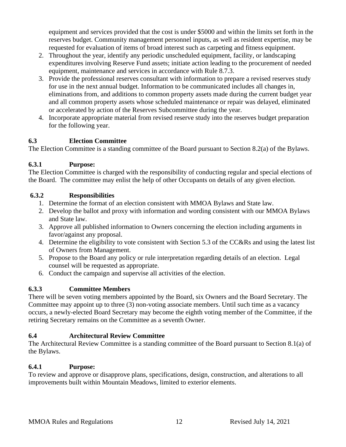equipment and services provided that the cost is under \$5000 and within the limits set forth in the reserves budget. Community management personnel inputs, as well as resident expertise, may be requested for evaluation of items of broad interest such as carpeting and fitness equipment.

- 2. Throughout the year, identify any periodic unscheduled equipment, facility, or landscaping expenditures involving Reserve Fund assets; initiate action leading to the procurement of needed equipment, maintenance and services in accordance with Rule 8.7.3.
- 3. Provide the professional reserves consultant with information to prepare a revised reserves study for use in the next annual budget. Information to be communicated includes all changes in, eliminations from, and additions to common property assets made during the current budget year and all common property assets whose scheduled maintenance or repair was delayed, eliminated or accelerated by action of the Reserves Subcommittee during the year.
- 4. Incorporate appropriate material from revised reserve study into the reserves budget preparation for the following year.

## <span id="page-11-0"></span>**6.3 Election Committee**

The Election Committee is a standing committee of the Board pursuant to Section 8.2(a) of the Bylaws.

## <span id="page-11-1"></span>**6.3.1 Purpose:**

The Election Committee is charged with the responsibility of conducting regular and special elections of the Board. The committee may enlist the help of other Occupants on details of any given election.

## <span id="page-11-2"></span>**6.3.2 Responsibilities**

- 1. Determine the format of an election consistent with MMOA Bylaws and State law.
- 2. Develop the ballot and proxy with information and wording consistent with our MMOA Bylaws and State law.
- 3. Approve all published information to Owners concerning the election including arguments in favor/against any proposal.
- 4. Determine the eligibility to vote consistent with Section 5.3 of the CC&Rs and using the latest list of Owners from Management.
- 5. Propose to the Board any policy or rule interpretation regarding details of an election. Legal counsel will be requested as appropriate.
- 6. Conduct the campaign and supervise all activities of the election.

## <span id="page-11-3"></span>**6.3.3 Committee Members**

There will be seven voting members appointed by the Board, six Owners and the Board Secretary. The Committee may appoint up to three (3) non-voting associate members. Until such time as a vacancy occurs, a newly-elected Board Secretary may become the eighth voting member of the Committee, if the retiring Secretary remains on the Committee as a seventh Owner.

## <span id="page-11-4"></span>**6.4 Architectural Review Committee**

The Architectural Review Committee is a standing committee of the Board pursuant to Section 8.1(a) of the Bylaws.

## <span id="page-11-5"></span>**6.4.1 Purpose:**

To review and approve or disapprove plans, specifications, design, construction, and alterations to all improvements built within Mountain Meadows, limited to exterior elements.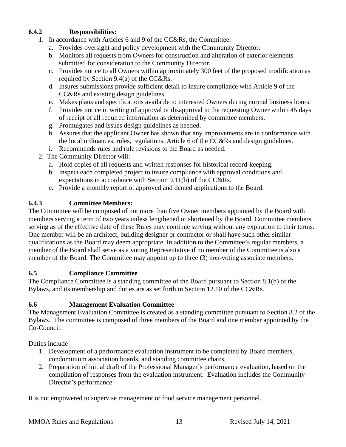## <span id="page-12-0"></span>**6.4.2 Responsibilities:**

- 1. In accordance with Articles 6 and 9 of the CC&Rs, the Committee:
	- a. Provides oversight and policy development with the Community Director.
	- b. Monitors all requests from Owners for construction and alteration of exterior elements submitted for consideration to the Community Director.
	- c. Provides notice to all Owners within approximately 300 feet of the proposed modification as required by Section 9.4(a) of the CC&Rs.
	- d. Insures submissions provide sufficient detail to insure compliance with Article 9 of the CC&Rs and existing design guidelines.
	- e. Makes plans and specifications available to interested Owners during normal business hours.
	- f. Provides notice in writing of approval or disapproval to the requesting Owner within 45 days of receipt of all required information as determined by committee members.
	- g. Promulgates and issues design guidelines as needed.
	- h. Assures that the applicant Owner has shown that any improvements are in conformance with the local ordinances, rules, regulations, Article 6 of the CC&Rs and design guidelines.
	- i. Recommends rules and rule revisions to the Board as needed.
- 2. The Community Director will:
	- a. Hold copies of all requests and written responses for historical record-keeping.
	- b. Inspect each completed project to insure compliance with approval conditions and expectations in accordance with Section 9.11(b) of the CC&Rs.
	- c. Provide a monthly report of approved and denied applications to the Board.

#### <span id="page-12-1"></span>**6.4.3 Committee Members:**

The Committee will be composed of not more than five Owner members appointed by the Board with members serving a term of two years unless lengthened or shortened by the Board. Committee members serving as of the effective date of these Rules may continue serving without any expiration to their terms. One member will be an architect, building designer or contractor or shall have such other similar qualifications as the Board may deem appropriate. In addition to the Committee's regular members, a member of the Board shall serve as a voting Representative if no member of the Committee is also a member of the Board. The Committee may appoint up to three (3) non-voting associate members.

#### <span id="page-12-2"></span>**6.5 Compliance Committee**

The Compliance Committee is a standing committee of the Board pursuant to Section 8.1(b) of the Bylaws, and its membership and duties are as set forth in Section 12.10 of the CC&Rs.

#### <span id="page-12-3"></span>**6.6 Management Evaluation Committee**

The Management Evaluation Committee is created as a standing committee pursuant to Section 8.2 of the Bylaws. The committee is composed of three members of the Board and one member appointed by the Co-Council.

Duties include

- 1. Development of a performance evaluation instrument to be completed by Board members, condominium association boards, and standing committee chairs.
- 2. Preparation of initial draft of the Professional Manager's performance evaluation, based on the compilation of responses from the evaluation instrument. Evaluation includes the Community Director's performance.

It is not empowered to supervise management or food service management personnel.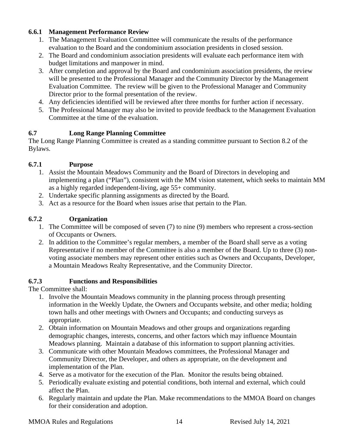## <span id="page-13-0"></span>**6.6.1 Management Performance Review**

- 1. The Management Evaluation Committee will communicate the results of the performance evaluation to the Board and the condominium association presidents in closed session.
- 2. The Board and condominium association presidents will evaluate each performance item with budget limitations and manpower in mind.
- 3. After completion and approval by the Board and condominium association presidents, the review will be presented to the Professional Manager and the Community Director by the Management Evaluation Committee. The review will be given to the Professional Manager and Community Director prior to the formal presentation of the review.
- 4. Any deficiencies identified will be reviewed after three months for further action if necessary.
- 5. The Professional Manager may also be invited to provide feedback to the Management Evaluation Committee at the time of the evaluation.

## <span id="page-13-1"></span>**6.7 Long Range Planning Committee**

The Long Range Planning Committee is created as a standing committee pursuant to Section 8.2 of the Bylaws.

#### <span id="page-13-2"></span>**6.7.1 Purpose**

- 1. Assist the Mountain Meadows Community and the Board of Directors in developing and implementing a plan ("Plan"), consistent with the MM vision statement, which seeks to maintain MM as a highly regarded independent-living, age 55+ community.
- 2. Undertake specific planning assignments as directed by the Board.
- 3. Act as a resource for the Board when issues arise that pertain to the Plan.

## <span id="page-13-3"></span>**6.7.2 Organization**

- 1. The Committee will be composed of seven (7) to nine (9) members who represent a cross-section of Occupants or Owners.
- 2. In addition to the Committee's regular members, a member of the Board shall serve as a voting Representative if no member of the Committee is also a member of the Board. Up to three (3) nonvoting associate members may represent other entities such as Owners and Occupants, Developer, a Mountain Meadows Realty Representative, and the Community Director.

#### <span id="page-13-4"></span>**6.7.3 Functions and Responsibilities**

The Committee shall:

- 1. Involve the Mountain Meadows community in the planning process through presenting information in the Weekly Update, the Owners and Occupants website, and other media; holding town halls and other meetings with Owners and Occupants; and conducting surveys as appropriate.
- 2. Obtain information on Mountain Meadows and other groups and organizations regarding demographic changes, interests, concerns, and other factors which may influence Mountain Meadows planning. Maintain a database of this information to support planning activities.
- 3. Communicate with other Mountain Meadows committees, the Professional Manager and Community Director, the Developer, and others as appropriate, on the development and implementation of the Plan.
- 4. Serve as a motivator for the execution of the Plan. Monitor the results being obtained.
- 5. Periodically evaluate existing and potential conditions, both internal and external, which could affect the Plan.
- 6. Regularly maintain and update the Plan. Make recommendations to the MMOA Board on changes for their consideration and adoption.

MMOA Rules and Regulations 14 Revised July 14, 2021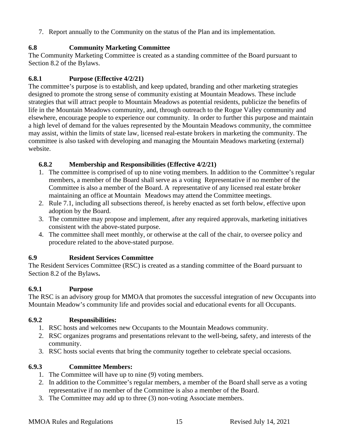7. Report annually to the Community on the status of the Plan and its implementation.

## <span id="page-14-0"></span>**6.8 Community Marketing Committee**

The Community Marketing Committee is created as a standing committee of the Board pursuant to Section 8.2 of the Bylaws.

## <span id="page-14-1"></span>**6.8.1 Purpose (Effective 4/2/21)**

The committee's purpose is to establish, and keep updated, branding and other marketing strategies designed to promote the strong sense of community existing at Mountain Meadows. These include strategies that will attract people to Mountain Meadows as potential residents, publicize the benefits of life in the Mountain Meadows community, and, through outreach to the Rogue Valley community and elsewhere, encourage people to experience our community. In order to further this purpose and maintain a high level of demand for the values represented by the Mountain Meadows community, the committee may assist, within the limits of state law, licensed real-estate brokers in marketing the community. The committee is also tasked with developing and managing the Mountain Meadows marketing (external) website.

## <span id="page-14-2"></span>**6.8.2 Membership and Responsibilities (Effective 4/2/21)**

- 1. The committee is comprised of up to nine voting members. In addition to the Committee's regular members, a member of the Board shall serve as a voting Representative if no member of the Committee is also a member of the Board. A representative of any licensed real estate broker maintaining an office at Mountain Meadows may attend the Committee meetings.
- 2. Rule 7.1, including all subsections thereof, is hereby enacted as set forth below, effective upon adoption by the Board.
- 3. The committee may propose and implement, after any required approvals, marketing initiatives consistent with the above-stated purpose.
- 4. The committee shall meet monthly, or otherwise at the call of the chair, to oversee policy and procedure related to the above-stated purpose.

## <span id="page-14-3"></span>**6.9 Resident Services Committee**

The Resident Services Committee (RSC) is created as a standing committee of the Board pursuant to Section 8.2 of the Bylaws**.**

## <span id="page-14-4"></span>**6.9.1 Purpose**

The RSC is an advisory group for MMOA that promotes the successful integration of new Occupants into Mountain Meadow's community life and provides social and educational events for all Occupants.

## <span id="page-14-5"></span>**6.9.2 Responsibilities:**

- 1. RSC hosts and welcomes new Occupants to the Mountain Meadows community.
- 2. RSC organizes programs and presentations relevant to the well-being, safety, and interests of the community.
- 3. RSC hosts social events that bring the community together to celebrate special occasions.

## <span id="page-14-6"></span>**6.9.3 Committee Members:**

- 1. The Committee will have up to nine (9) voting members.
- 2. In addition to the Committee's regular members, a member of the Board shall serve as a voting representative if no member of the Committee is also a member of the Board.
- 3. The Committee may add up to three (3) non-voting Associate members.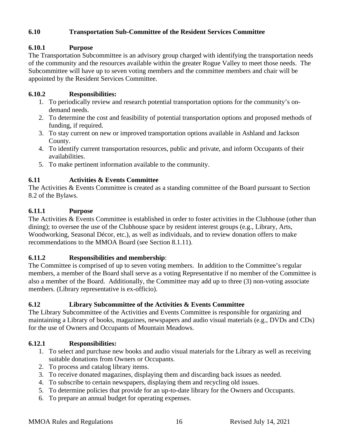## <span id="page-15-0"></span>**6.10 Transportation Sub-Committee of the Resident Services Committee**

## <span id="page-15-1"></span>**6.10.1 Purpose**

The Transportation Subcommittee is an advisory group charged with identifying the transportation needs of the community and the resources available within the greater Rogue Valley to meet those needs. The Subcommittee will have up to seven voting members and the committee members and chair will be appointed by the Resident Services Committee.

## <span id="page-15-2"></span>**6.10.2 Responsibilities:**

- 1. To periodically review and research potential transportation options for the community's ondemand needs.
- 2. To determine the cost and feasibility of potential transportation options and proposed methods of funding, if required.
- 3. To stay current on new or improved transportation options available in Ashland and Jackson County.
- 4. To identify current transportation resources, public and private, and inform Occupants of their availabilities.
- 5. To make pertinent information available to the community.

## <span id="page-15-3"></span>**6.11 Activities & Events Committee**

The Activities & Events Committee is created as a standing committee of the Board pursuant to Section 8.2 of the Bylaws.

## <span id="page-15-4"></span>**6.11.1 Purpose**

The Activities & Events Committee is established in order to foster activities in the Clubhouse (other than dining); to oversee the use of the Clubhouse space by resident interest groups (e.g., Library, Arts, Woodworking, Seasonal Décor, etc.), as well as individuals, and to review donation offers to make recommendations to the MMOA Board (see Section 8.1.11).

#### <span id="page-15-5"></span>**6.11.2 Responsibilities and membership**:

The Committee is comprised of up to seven voting members. In addition to the Committee's regular members, a member of the Board shall serve as a voting Representative if no member of the Committee is also a member of the Board. Additionally, the Committee may add up to three (3) non-voting associate members. (Library representative is ex-officio).

## <span id="page-15-6"></span>**6.12 Library Subcommittee of the Activities & Events Committee**

The Library Subcommittee of the Activities and Events Committee is responsible for organizing and maintaining a Library of books, magazines, newspapers and audio visual materials (e.g., DVDs and CDs) for the use of Owners and Occupants of Mountain Meadows.

#### <span id="page-15-7"></span>**6.12.1 Responsibilities:**

- 1. To select and purchase new books and audio visual materials for the Library as well as receiving suitable donations from Owners or Occupants.
- 2. To process and catalog library items.
- 3. To receive donated magazines, displaying them and discarding back issues as needed.
- 4. To subscribe to certain newspapers, displaying them and recycling old issues.
- 5. To determine policies that provide for an up-to-date library for the Owners and Occupants.
- 6. To prepare an annual budget for operating expenses.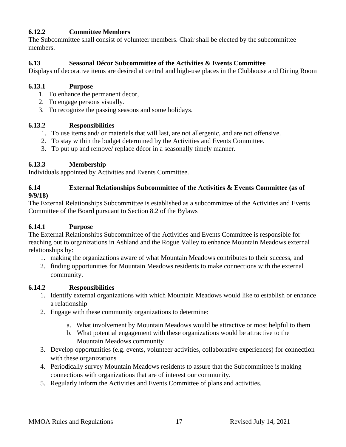## <span id="page-16-0"></span>**6.12.2 Committee Members**

The Subcommittee shall consist of volunteer members. Chair shall be elected by the subcommittee members.

## <span id="page-16-1"></span>**6.13 Seasonal Décor Subcommittee of the Activities & Events Committee**

Displays of decorative items are desired at central and high-use places in the Clubhouse and Dining Room

#### <span id="page-16-2"></span>**6.13.1 Purpose**

- 1. To enhance the permanent decor,
- 2. To engage persons visually.
- 3. To recognize the passing seasons and some holidays.

#### <span id="page-16-3"></span>**6.13.2 Responsibilities**

- 1. To use items and/ or materials that will last, are not allergenic, and are not offensive.
- 2. To stay within the budget determined by the Activities and Events Committee.
- 3. To put up and remove/ replace décor in a seasonally timely manner.

## <span id="page-16-4"></span>**6.13.3 Membership**

Individuals appointed by Activities and Events Committee.

#### <span id="page-16-5"></span>**6.14 External Relationships Subcommittee of the Activities & Events Committee (as of 9/9/18)**

The External Relationships Subcommittee is established as a subcommittee of the Activities and Events Committee of the Board pursuant to Section 8.2 of the Bylaws

## <span id="page-16-6"></span>**6.14.1 Purpose**

The External Relationships Subcommittee of the Activities and Events Committee is responsible for reaching out to organizations in Ashland and the Rogue Valley to enhance Mountain Meadows external relationships by:

- 1. making the organizations aware of what Mountain Meadows contributes to their success, and
- 2. finding opportunities for Mountain Meadows residents to make connections with the external community.

## <span id="page-16-7"></span>**6.14.2 Responsibilities**

- 1. Identify external organizations with which Mountain Meadows would like to establish or enhance a relationship
- 2. Engage with these community organizations to determine:
	- a. What involvement by Mountain Meadows would be attractive or most helpful to them
	- b. What potential engagement with these organizations would be attractive to the Mountain Meadows community
- 3. Develop opportunities (e.g. events, volunteer activities, collaborative experiences) for connection with these organizations
- 4. Periodically survey Mountain Meadows residents to assure that the Subcommittee is making connections with organizations that are of interest our community.
- 5. Regularly inform the Activities and Events Committee of plans and activities.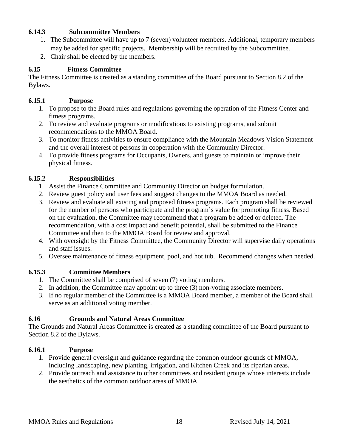### <span id="page-17-0"></span>**6.14.3 Subcommittee Members**

- 1. The Subcommittee will have up to 7 (seven) volunteer members. Additional, temporary members may be added for specific projects. Membership will be recruited by the Subcommittee.
- 2. Chair shall be elected by the members.

## <span id="page-17-1"></span>**6.15 Fitness Committee**

The Fitness Committee is created as a standing committee of the Board pursuant to Section 8.2 of the Bylaws.

#### <span id="page-17-2"></span>**6.15.1 Purpose**

- 1. To propose to the Board rules and regulations governing the operation of the Fitness Center and fitness programs.
- 2. To review and evaluate programs or modifications to existing programs, and submit recommendations to the MMOA Board.
- 3. To monitor fitness activities to ensure compliance with the Mountain Meadows Vision Statement and the overall interest of persons in cooperation with the Community Director.
- 4. To provide fitness programs for Occupants, Owners, and guests to maintain or improve their physical fitness.

## <span id="page-17-3"></span>**6.15.2 Responsibilities**

- 1. Assist the Finance Committee and Community Director on budget formulation.
- 2. Review guest policy and user fees and suggest changes to the MMOA Board as needed.
- 3. Review and evaluate all existing and proposed fitness programs. Each program shall be reviewed for the number of persons who participate and the program's value for promoting fitness. Based on the evaluation, the Committee may recommend that a program be added or deleted. The recommendation, with a cost impact and benefit potential, shall be submitted to the Finance Committee and then to the MMOA Board for review and approval.
- 4. With oversight by the Fitness Committee, the Community Director will supervise daily operations and staff issues.
- 5. Oversee maintenance of fitness equipment, pool, and hot tub. Recommend changes when needed.

## <span id="page-17-4"></span>**6.15.3 Committee Members**

- 1. The Committee shall be comprised of seven (7) voting members.
- 2. In addition, the Committee may appoint up to three (3) non-voting associate members.
- 3. If no regular member of the Committee is a MMOA Board member, a member of the Board shall serve as an additional voting member.

## <span id="page-17-5"></span>**6.16 Grounds and Natural Areas Committee**

The Grounds and Natural Areas Committee is created as a standing committee of the Board pursuant to Section 8.2 of the Bylaws.

#### <span id="page-17-6"></span>**6.16.1 Purpose**

- 1. Provide general oversight and guidance regarding the common outdoor grounds of MMOA, including landscaping, new planting, irrigation, and Kitchen Creek and its riparian areas.
- 2. Provide outreach and assistance to other committees and resident groups whose interests include the aesthetics of the common outdoor areas of MMOA.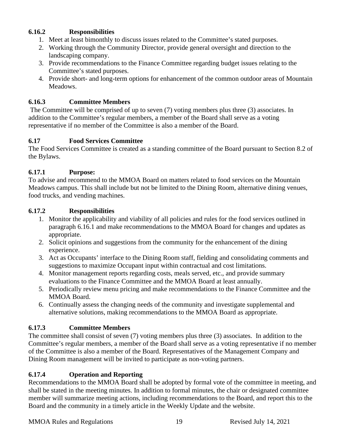### <span id="page-18-0"></span>**6.16.2 Responsibilities**

- 1. Meet at least bimonthly to discuss issues related to the Committee's stated purposes.
- 2. Working through the Community Director, provide general oversight and direction to the landscaping company.
- 3. Provide recommendations to the Finance Committee regarding budget issues relating to the Committee's stated purposes.
- 4. Provide short- and long-term options for enhancement of the common outdoor areas of Mountain Meadows.

## <span id="page-18-1"></span>**6.16.3 Committee Members**

The Committee will be comprised of up to seven (7) voting members plus three (3) associates. In addition to the Committee's regular members, a member of the Board shall serve as a voting representative if no member of the Committee is also a member of the Board.

## <span id="page-18-2"></span>**6.17 Food Services Committee**

The Food Services Committee is created as a standing committee of the Board pursuant to Section 8.2 of the Bylaws.

## <span id="page-18-3"></span>**6.17.1 Purpose:**

To advise and recommend to the MMOA Board on matters related to food services on the Mountain Meadows campus. This shall include but not be limited to the Dining Room, alternative dining venues, food trucks, and vending machines.

## <span id="page-18-4"></span>**6.17.2 Responsibilities**

- 1. Monitor the applicability and viability of all policies and rules for the food services outlined in paragraph 6.16.1 and make recommendations to the MMOA Board for changes and updates as appropriate.
- 2. Solicit opinions and suggestions from the community for the enhancement of the dining experience.
- 3. Act as Occupants' interface to the Dining Room staff, fielding and consolidating comments and suggestions to maximize Occupant input within contractual and cost limitations.
- 4. Monitor management reports regarding costs, meals served, etc., and provide summary evaluations to the Finance Committee and the MMOA Board at least annually.
- 5. Periodically review menu pricing and make recommendations to the Finance Committee and the MMOA Board.
- 6. Continually assess the changing needs of the community and investigate supplemental and alternative solutions, making recommendations to the MMOA Board as appropriate.

## <span id="page-18-5"></span>**6.17.3 Committee Members**

The committee shall consist of seven (7) voting members plus three (3) associates. In addition to the Committee's regular members, a member of the Board shall serve as a voting representative if no member of the Committee is also a member of the Board. Representatives of the Management Company and Dining Room management will be invited to participate as non-voting partners.

## <span id="page-18-6"></span>**6.17.4 Operation and Reporting**

Recommendations to the MMOA Board shall be adopted by formal vote of the committee in meeting, and shall be stated in the meeting minutes. In addition to formal minutes, the chair or designated committee member will summarize meeting actions, including recommendations to the Board, and report this to the Board and the community in a timely article in the Weekly Update and the website.

MMOA Rules and Regulations 19 Revised July 14, 2021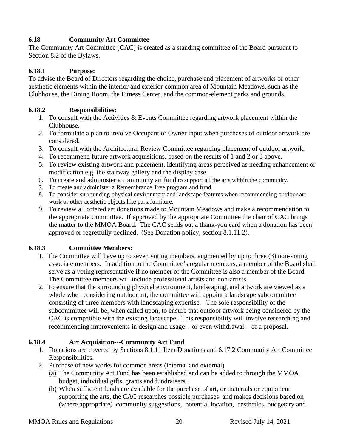## <span id="page-19-0"></span>**6.18 Community Art Committee**

The Community Art Committee (CAC) is created as a standing committee of the Board pursuant to Section 8.2 of the Bylaws.

## <span id="page-19-1"></span>**6.18.1 Purpose:**

To advise the Board of Directors regarding the choice, purchase and placement of artworks or other aesthetic elements within the interior and exterior common area of Mountain Meadows, such as the Clubhouse, the Dining Room, the Fitness Center, and the common-element parks and grounds.

## <span id="page-19-2"></span>**6.18.2 Responsibilities:**

- 1. To consult with the Activities & Events Committee regarding artwork placement within the Clubhouse.
- 2. To formulate a plan to involve Occupant or Owner input when purchases of outdoor artwork are considered.
- 3. To consult with the Architectural Review Committee regarding placement of outdoor artwork.
- 4. To recommend future artwork acquisitions, based on the results of 1 and 2 or 3 above.
- 5. To review existing artwork and placement, identifying areas perceived as needing enhancement or modification e.g. the stairway gallery and the display case.
- 6. To create and administer a community art fund to support all the arts within the community.
- 7. To create and administer a Remembrance Tree program and fund.
- 8. To consider surrounding physical environment and landscape features when recommending outdoor art work or other aesthetic objects like park furniture.
- 9. To review all offered art donations made to Mountain Meadows and make a recommendation to the appropriate Committee. If approved by the appropriate Committee the chair of CAC brings the matter to the MMOA Board. The CAC sends out a thank-you card when a donation has been approved or regretfully declined. (See Donation policy, section 8.1.11.2).

## <span id="page-19-3"></span>**6.18.3 Committee Members:**

- 1. The Committee will have up to seven voting members, augmented by up to three (3) non-voting associate members. In addition to the Committee's regular members, a member of the Board shall serve as a voting representative if no member of the Committee is also a member of the Board. The Committee members will include professional artists and non-artists.
- 2. To ensure that the surrounding physical environment, landscaping, and artwork are viewed as a whole when considering outdoor art, the committee will appoint a landscape subcommittee consisting of three members with landscaping expertise. The sole responsibility of the subcommittee will be, when called upon, to ensure that outdoor artwork being considered by the CAC is compatible with the existing landscape. This responsibility will involve researching and recommending improvements in design and usage − or even withdrawal − of a proposal.

## <span id="page-19-4"></span>**6.18.4 Art Acquisition---Community Art Fund**

- 1. Donations are covered by Sections 8.1.11 Item Donations and 6.17.2 Community Art Committee Responsibilities.
- 2. Purchase of new works for common areas (internal and external)
	- (a) The Community Art Fund has been established and can be added to through the MMOA budget, individual gifts, grants and fundraisers.
	- (b) When sufficient funds are available for the purchase of art, or materials or equipment supporting the arts, the CAC researches possible purchases and makes decisions based on (where appropriate) community suggestions, potential location, aesthetics, budgetary and

MMOA Rules and Regulations 20 Revised July 14, 2021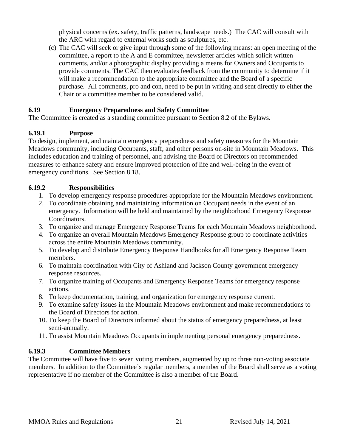physical concerns (ex. safety, traffic patterns, landscape needs.) The CAC will consult with the ARC with regard to external works such as sculptures, etc.

(c) The CAC will seek or give input through some of the following means: an open meeting of the committee, a report to the A and E committee, newsletter articles which solicit written comments, and/or a photographic display providing a means for Owners and Occupants to provide comments. The CAC then evaluates feedback from the community to determine if it will make a recommendation to the appropriate committee and the Board of a specific purchase. All comments, pro and con, need to be put in writing and sent directly to either the Chair or a committee member to be considered valid.

## <span id="page-20-0"></span>**6.19 Emergency Preparedness and Safety Committee**

The Committee is created as a standing committee pursuant to Section 8.2 of the Bylaws.

## <span id="page-20-1"></span>**6.19.1 Purpose**

To design, implement, and maintain emergency preparedness and safety measures for the Mountain Meadows community, including Occupants, staff, and other persons on-site in Mountain Meadows. This includes education and training of personnel, and advising the Board of Directors on recommended measures to enhance safety and ensure improved protection of life and well-being in the event of emergency conditions. See Section 8.18.

## <span id="page-20-2"></span>**6.19.2 Responsibilities**

- 1. To develop emergency response procedures appropriate for the Mountain Meadows environment.
- 2. To coordinate obtaining and maintaining information on Occupant needs in the event of an emergency. Information will be held and maintained by the neighborhood Emergency Response Coordinators.
- 3. To organize and manage Emergency Response Teams for each Mountain Meadows neighborhood.
- 4. To organize an overall Mountain Meadows Emergency Response group to coordinate activities across the entire Mountain Meadows community.
- 5. To develop and distribute Emergency Response Handbooks for all Emergency Response Team members.
- 6. To maintain coordination with City of Ashland and Jackson County government emergency response resources.
- 7. To organize training of Occupants and Emergency Response Teams for emergency response actions.
- 8. To keep documentation, training, and organization for emergency response current.
- 9. To examine safety issues in the Mountain Meadows environment and make recommendations to the Board of Directors for action.
- 10. To keep the Board of Directors informed about the status of emergency preparedness, at least semi-annually.
- 11. To assist Mountain Meadows Occupants in implementing personal emergency preparedness.

## <span id="page-20-3"></span>**6.19.3 Committee Members**

The Committee will have five to seven voting members, augmented by up to three non-voting associate members. In addition to the Committee's regular members, a member of the Board shall serve as a voting representative if no member of the Committee is also a member of the Board.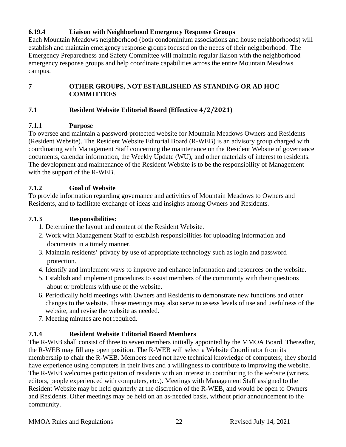## <span id="page-21-0"></span>**6.19.4 Liaison with Neighborhood Emergency Response Groups**

Each Mountain Meadows neighborhood (both condominium associations and house neighborhoods) will establish and maintain emergency response groups focused on the needs of their neighborhood. The Emergency Preparedness and Safety Committee will maintain regular liaison with the neighborhood emergency response groups and help coordinate capabilities across the entire Mountain Meadows campus.

## <span id="page-21-1"></span>**7 OTHER GROUPS, NOT ESTABLISHED AS STANDING OR AD HOC COMMITTEES**

## <span id="page-21-2"></span>**7.1 Resident Website Editorial Board (Effective 4/2/2021)**

## <span id="page-21-3"></span>**7.1.1 Purpose**

To oversee and maintain a password-protected website for Mountain Meadows Owners and Residents (Resident Website). The Resident Website Editorial Board (R-WEB) is an advisory group charged with coordinating with Management Staff concerning the maintenance on the Resident Website of governance documents, calendar information, the Weekly Update (WU), and other materials of interest to residents. The development and maintenance of the Resident Website is to be the responsibility of Management with the support of the R-WEB.

## <span id="page-21-4"></span>**7.1.2 Goal of Website**

To provide information regarding governance and activities of Mountain Meadows to Owners and Residents, and to facilitate exchange of ideas and insights among Owners and Residents.

## <span id="page-21-5"></span>**7.1.3 Responsibilities:**

- 1. Determine the layout and content of the Resident Website.
- 2. Work with Management Staff to establish responsibilities for uploading information and documents in a timely manner.
- 3. Maintain residents' privacy by use of appropriate technology such as login and password protection.
- 4. Identify and implement ways to improve and enhance information and resources on the website.
- 5. Establish and implement procedures to assist members of the community with their questions about or problems with use of the website.
- 6. Periodically hold meetings with Owners and Residents to demonstrate new functions and other changes to the website. These meetings may also serve to assess levels of use and usefulness of the website, and revise the website as needed.
- 7. Meeting minutes are not required.

## <span id="page-21-6"></span>**7.1.4 Resident Website Editorial Board Members**

The R-WEB shall consist of three to seven members initially appointed by the MMOA Board. Thereafter, the R-WEB may fill any open position. The R-WEB will select a Website Coordinator from its membership to chair the R-WEB. Members need not have technical knowledge of computers; they should have experience using computers in their lives and a willingness to contribute to improving the website. The R-WEB welcomes participation of residents with an interest in contributing to the website (writers, editors, people experienced with computers, etc.). Meetings with Management Staff assigned to the Resident Website may be held quarterly at the discretion of the R-WEB, and would be open to Owners and Residents. Other meetings may be held on an as-needed basis, without prior announcement to the community.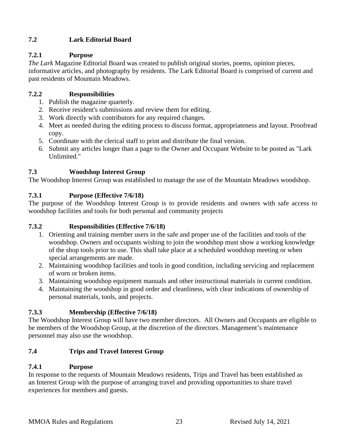## <span id="page-22-0"></span>**7.2 Lark Editorial Board**

## <span id="page-22-1"></span>**7.2.1 Purpose**

*The Lark* Magazine Editorial Board was created to publish original stories, poems, opinion pieces, informative articles, and photography by residents. The Lark Editorial Board is comprised of current and past residents of Mountain Meadows.

## <span id="page-22-2"></span>**7.2.2 Responsibilities**

- 1. Publish the magazine quarterly.
- 2. Receive resident's submissions and review them for editing.
- 3. Work directly with contributors for any required changes.
- 4. Meet as needed during the editing process to discuss format, appropriateness and layout. Proofread copy.
- 5. Coordinate with the clerical staff to print and distribute the final version.
- 6. Submit any articles longer than a page to the Owner and Occupant Website to be posted as "Lark Unlimited."

## <span id="page-22-3"></span>**7.3 Woodshop Interest Group**

The Woodshop Interest Group was established to manage the use of the Mountain Meadows woodshop.

## <span id="page-22-4"></span>**7.3.1 Purpose (Effective 7/6/18)**

The purpose of the Woodshop Interest Group is to provide residents and owners with safe access to woodshop facilities and tools for both personal and community projects

## <span id="page-22-5"></span>**7.3.2 Responsibilities (Effective 7/6/18)**

- 1. Orienting and training member users in the safe and proper use of the facilities and tools of the woodshop. Owners and occupants wishing to join the woodshop must show a working knowledge of the shop tools prior to use. This shall take place at a scheduled woodshop meeting or when special arrangements are made.
- 2. Maintaining woodshop facilities and tools in good condition, including servicing and replacement of worn or broken items.
- 3. Maintaining woodshop equipment manuals and other instructional materials in current condition.
- 4. Maintaining the woodshop in good order and cleanliness, with clear indications of ownership of personal materials, tools, and projects.

## <span id="page-22-6"></span>**7.3.3 Membership (Effective 7/6/18)**

The Woodshop Interest Group will have two member directors. All Owners and Occupants are eligible to be members of the Woodshop Group, at the discretion of the directors. Management's maintenance personnel may also use the woodshop.

## <span id="page-22-7"></span>**7.4 Trips and Travel Interest Group**

## <span id="page-22-8"></span>**7.4.1 Purpose**

In response to the requests of Mountain Meadows residents, Trips and Travel has been established as an Interest Group with the purpose of arranging travel and providing opportunities to share travel experiences for members and guests.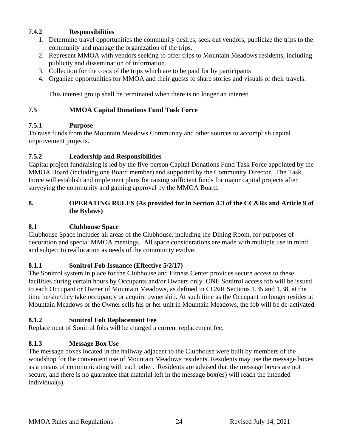## <span id="page-23-0"></span>**7.4.2 Responsibilities**

- 1. Determine travel opportunities the community desires, seek out vendors, publicize the trips to the community and manage the organization of the trips.
- 2. Represent MMOA with vendors seeking to offer trips to Mountain Meadows residents, including publicity and dissemination of information.
- 3. Collection for the costs of the trips which are to be paid for by participants
- 4. Organize opportunities for MMOA and their guests to share stories and visuals of their travels.

This interest group shall be terminated when there is no longer an interest.

## <span id="page-23-1"></span>**7.5 MMOA Capital Donations Fund Task Force**

## <span id="page-23-2"></span>**7.5.1 Purpose**

To raise funds from the Mountain Meadows Community and other sources to accomplish capital improvement projects.

## <span id="page-23-3"></span>**7.5.2 Leadership and Responsibilities**

Capital project fundraising is led by the five-person Capital Donations Fund Task Force appointed by the MMOA Board (including one Board member) and supported by the Community Director. The Task Force will establish and implement plans for raising sufficient funds for major capital projects after surveying the community and gaining approval by the MMOA Board.

#### <span id="page-23-4"></span>**8. OPERATING RULES (As provided for in Section 4.3 of the CC&Rs and Article 9 of the Bylaws)**

## <span id="page-23-5"></span>**8.1 Clubhouse Space**

Clubhouse Space includes all areas of the Clubhouse, including the Dining Room, for purposes of decoration and special MMOA meetings. All space considerations are made with multiple use in mind and subject to reallocation as needs of the community evolve.

## **8.1.1 Sonitrol Fob Issuance (Effective 5/2/17)**

The Sonitrol system in place for the Clubhouse and Fitness Center provides secure access to these facilities during certain hours by Occupants and/or Owners only. ONE Sonitrol access fob will be issued to each Occupant or Owner of Mountain Meadows, as defined in CC&R Sections 1.35 and 1.38, at the time he/she/they take occupancy or acquire ownership. At such time as the Occupant no longer resides at Mountain Meadows or the Owner sells his or her unit in Mountain Meadows, the fob will be de-activated.

## <span id="page-23-6"></span>**8.1.2 Sonitrol Fob Replacement Fee**

Replacement of Sonitrol fobs will be charged a current replacement fee.

## <span id="page-23-7"></span>**8.1.3 Message Box Use**

The message boxes located in the hallway adjacent to the Clubhouse were built by members of the woodshop for the convenient use of Mountain Meadows residents. Residents may use the message boxes as a means of communicating with each other. Residents are advised that the message boxes are not secure, and there is no guarantee that material left in the message box(es) will reach the intended individual(s).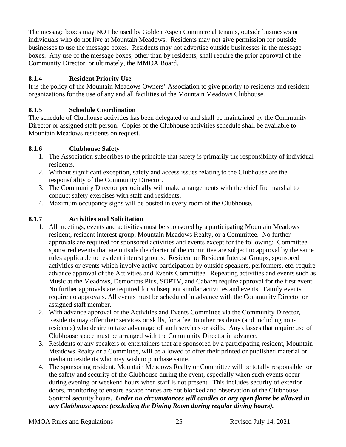The message boxes may NOT be used by Golden Aspen Commercial tenants, outside businesses or individuals who do not live at Mountain Meadows. Residents may not give permission for outside businesses to use the message boxes. Residents may not advertise outside businesses in the message boxes. Any use of the message boxes, other than by residents, shall require the prior approval of the Community Director, or ultimately, the MMOA Board.

## <span id="page-24-0"></span>**8.1.4 Resident Priority Use**

It is the policy of the Mountain Meadows Owners' Association to give priority to residents and resident organizations for the use of any and all facilities of the Mountain Meadows Clubhouse.

## <span id="page-24-1"></span>**8.1.5 Schedule Coordination**

The schedule of Clubhouse activities has been delegated to and shall be maintained by the Community Director or assigned staff person. Copies of the Clubhouse activities schedule shall be available to Mountain Meadows residents on request.

## <span id="page-24-2"></span>**8.1.6 Clubhouse Safety**

- 1. The Association subscribes to the principle that safety is primarily the responsibility of individual residents.
- 2. Without significant exception, safety and access issues relating to the Clubhouse are the responsibility of the Community Director.
- 3. The Community Director periodically will make arrangements with the chief fire marshal to conduct safety exercises with staff and residents.
- 4. Maximum occupancy signs will be posted in every room of the Clubhouse.

## <span id="page-24-3"></span>**8.1.7 Activities and Solicitation**

- 1. All meetings, events and activities must be sponsored by a participating Mountain Meadows resident, resident interest group, Mountain Meadows Realty, or a Committee. No further approvals are required for sponsored activities and events except for the following: Committee sponsored events that are outside the charter of the committee are subject to approval by the same rules applicable to resident interest groups. Resident or Resident Interest Groups, sponsored activities or events which involve active participation by outside speakers, performers, etc. require advance approval of the Activities and Events Committee. Repeating activities and events such as Music at the Meadows, Democrats Plus, SOPTV, and Cabaret require approval for the first event. No further approvals are required for subsequent similar activities and events. Family events require no approvals. All events must be scheduled in advance with the Community Director or assigned staff member.
- 2. With advance approval of the Activities and Events Committee via the Community Director, Residents may offer their services or skills, for a fee, to other residents (and including nonresidents) who desire to take advantage of such services or skills. Any classes that require use of Clubhouse space must be arranged with the Community Director in advance.
- 3. Residents or any speakers or entertainers that are sponsored by a participating resident, Mountain Meadows Realty or a Committee, will be allowed to offer their printed or published material or media to residents who may wish to purchase same.
- 4. The sponsoring resident, Mountain Meadows Realty or Committee will be totally responsible for the safety and security of the Clubhouse during the event, especially when such events occur during evening or weekend hours when staff is not present. This includes security of exterior doors, monitoring to ensure escape routes are not blocked and observation of the Clubhouse Sonitrol security hours. *Under no circumstances will candles or any open flame be allowed in any Clubhouse space (excluding the Dining Room during regular dining hours).*

MMOA Rules and Regulations 25 Revised July 14, 2021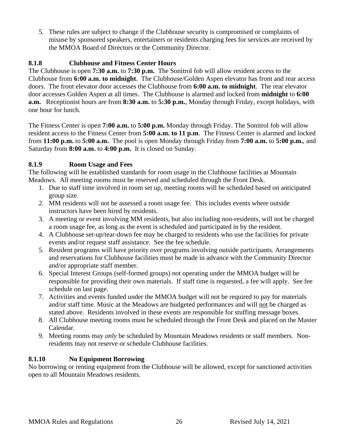5. These rules are subject to change if the Clubhouse security is compromised or complaints of misuse by sponsored speakers, entertainers or residents charging fees for services are received by the MMOA Board of Directors or the Community Director.

## <span id="page-25-0"></span>**8.1.8 Clubhouse and Fitness Center Hours**

The Clubhouse is open **7:30 a.m.** to **7:30 p.m.** The Sonitrol fob will allow resident access to the Clubhouse from **6:00 a.m. to midnight**. The Clubhouse/Golden Aspen elevator has front and rear access doors. The front elevator door accesses the Clubhouse from **6:00 a.m. to midnight**. The rear elevator door accesses Golden Aspen at all times. The Clubhouse is alarmed and locked from **midnight** to **6:00 a.m.** Receptionist hours are from **8:30 a.m.** to **5:30 p.m.**, Monday through Friday, except holidays, with one hour for lunch.

The Fitness Center is open **7:00 a.m.** to **5:00 p.m.** Monday through Friday. The Sonitrol fob will allow resident access to the Fitness Center from **5:00 a.m. to 11 p.m**. The Fitness Center is alarmed and locked from **11:00 p.m.** to **5:00 a.m.** The pool is open Monday through Friday from **7:00 a.m.** to **5:00 p.m.**, and Saturday from **8:00 a.m.** to **4:00 p.m.** It is closed on Sunday.

## <span id="page-25-1"></span>**8.1.9 Room Usage and Fees**

The following will be established standards for room usage in the Clubhouse facilities at Mountain Meadows. All meeting rooms must be reserved and scheduled through the Front Desk.

- 1. Due to staff time involved in room set up, meeting rooms will be scheduled based on anticipated group size.
- 2. MM residents will not be assessed a room usage fee. This includes events where outside instructors have been hired by residents.
- 3. A meeting or event involving MM residents, but also including non-residents, will not be charged a room usage fee, as long as the event is scheduled and participated in by the resident.
- 4. A Clubhouse set-up/tear-down fee may be charged to residents who use the facilities for private events and/or request staff assistance. See the fee schedule.
- 5. Resident programs will have priority over programs involving outside participants. Arrangements and reservations for Clubhouse facilities must be made in advance with the Community Director and/or appropriate staff member.
- 6. Special Interest Groups (self-formed groups) not operating under the MMOA budget will be responsible for providing their own materials. If staff time is requested, a fee will apply. See fee schedule on last page.
- 7. Activities and events funded under the MMOA budget will not be required to pay for materials and/or staff time. Music at the Meadows are budgeted performances and will not be charged as stated above. Residents involved in these events are responsible for stuffing message boxes.
- 8. All Clubhouse meeting rooms must be scheduled through the Front Desk and placed on the Master Calendar.
- 9. Meeting rooms may *only* be scheduled by Mountain Meadows residents or staff members. Nonresidents may not reserve or schedule Clubhouse facilities.

## <span id="page-25-2"></span>**8.1.10 No Equipment Borrowing**

No borrowing or renting equipment from the Clubhouse will be allowed, except for sanctioned activities open to all Mountain Meadows residents.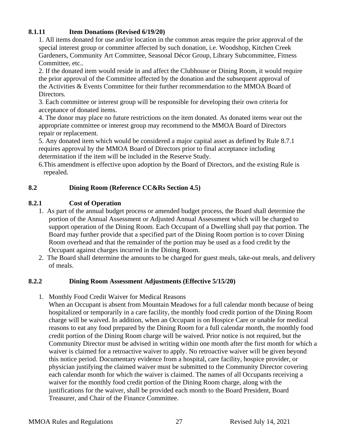## <span id="page-26-0"></span>**8.1.11 Item Donations (Revised 6/19/20)**

1. All items donated for use and/or location in the common areas require the prior approval of the special interest group or committee affected by such donation, i.e. Woodshop, Kitchen Creek Gardeners, Community Art Committee, Seasonal Décor Group, Library Subcommittee, Fitness Committee, etc..

2. If the donated item would reside in and affect the Clubhouse or Dining Room, it would require the prior approval of the Committee affected by the donation and the subsequent approval of the Activities & Events Committee for their further recommendation to the MMOA Board of Directors.

3. Each committee or interest group will be responsible for developing their own criteria for acceptance of donated items.

4. The donor may place no future restrictions on the item donated. As donated items wear out the appropriate committee or interest group may recommend to the MMOA Board of Directors repair or replacement.

5. Any donated item which would be considered a major capital asset as defined by Rule 8.7.1 requires approval by the MMOA Board of Directors prior to final acceptance including determination if the item will be included in the Reserve Study.

6.This amendment is effective upon adoption by the Board of Directors, and the existing Rule is repealed.

## <span id="page-26-1"></span>**8.2 Dining Room (Reference CC&Rs Section 4.5)**

## <span id="page-26-2"></span>**8.2.1 Cost of Operation**

- 1. As part of the annual budget process or amended budget process, the Board shall determine the portion of the Annual Assessment or Adjusted Annual Assessment which will be charged to support operation of the Dining Room. Each Occupant of a Dwelling shall pay that portion. The Board may further provide that a specified part of the Dining Room portion is to cover Dining Room overhead and that the remainder of the portion may be used as a food credit by the Occupant against charges incurred in the Dining Room.
- 2. The Board shall determine the amounts to be charged for guest meals, take-out meals, and delivery of meals.

#### <span id="page-26-3"></span>**8.2.2 Dining Room Assessment Adjustments (Effective 5/15/20)**

1. Monthly Food Credit Waiver for Medical Reasons

When an Occupant is absent from Mountain Meadows for a full calendar month because of being hospitalized or temporarily in a care facility, the monthly food credit portion of the Dining Room charge will be waived. In addition, when an Occupant is on Hospice Care or unable for medical reasons to eat any food prepared by the Dining Room for a full calendar month, the monthly food credit portion of the Dining Room charge will be waived. Prior notice is not required, but the Community Director must be advised in writing within one month after the first month for which a waiver is claimed for a retroactive waiver to apply. No retroactive waiver will be given beyond this notice period. Documentary evidence from a hospital, care facility, hospice provider, or physician justifying the claimed waiver must be submitted to the Community Director covering each calendar month for which the waiver is claimed. The names of all Occupants receiving a waiver for the monthly food credit portion of the Dining Room charge, along with the justifications for the waiver, shall be provided each month to the Board President, Board Treasurer, and Chair of the Finance Committee.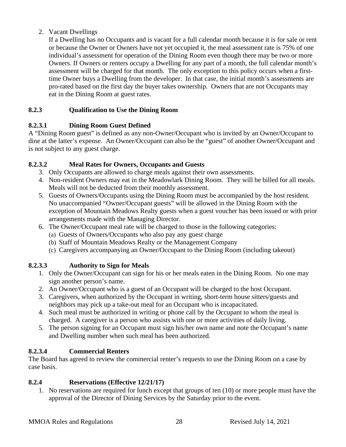## 2. Vacant Dwellings

If a Dwelling has no Occupants and is vacant for a full calendar month because it is for sale or rent or because the Owner or Owners have not yet occupied it, the meal assessment rate is 75% of one individual's assessment for operation of the Dining Room even though there may be two or more Owners. If Owners or renters occupy a Dwelling for any part of a month, the full calendar month's assessment will be charged for that month. The only exception to this policy occurs when a firsttime Owner buys a Dwelling from the developer. In that case, the initial month's assessments are pro-rated based on the first day the buyer takes ownership. Owners that are not Occupants may eat in the Dining Room at guest rates.

## <span id="page-27-0"></span>**8.2.3 Qualification to Use the Dining Room**

## <span id="page-27-1"></span>**8.2.3.1 Dining Room Guest Defined**

A "Dining Room guest" is defined as any non-Owner/Occupant who is invited by an Owner/Occupant to dine at the latter's expense. An Owner/Occupant can also be the "guest" of another Owner/Occupant and is not subject to any guest charge.

## <span id="page-27-2"></span>**8.2.3.2 Meal Rates for Owners, Occupants and Guests**

- 3. Only Occupants are allowed to charge meals against their own assessments.
- 4. Non-resident Owners may eat in the Meadowlark Dining Room. They will be billed for all meals. Meals will not be deducted from their monthly assessment.
- 5. Guests of Owners/Occupants using the Dining Room must be accompanied by the host resident. No unaccompanied "Owner/Occupant guests" will be allowed in the Dining Room with the exception of Mountain Meadows Realty guests when a guest voucher has been issued or with prior arrangements made with the Managing Director.
- 6. The Owner/Occupant meal rate will be charged to those in the following categories:
	- (a) Guests of Owners/Occupants who also pay any guest charge
	- (b) Staff of Mountain Meadows Realty or the Management Company
	- (c) Caregivers accompanying an Owner/Occupant to the Dining Room (including takeout)

## <span id="page-27-3"></span>**8.2.3.3 Authority to Sign for Meals**

- 1. Only the Owner/Occupant can sign for his or her meals eaten in the Dining Room. No one may sign another person's name.
- 2. An Owner/Occupant who is a guest of an Occupant will be charged to the host Occupant.
- 3. Caregivers, when authorized by the Occupant in writing, short-term house sitters/guests and neighbors may pick up a take-out meal for an Occupant who is incapacitated.
- 4. Such meal must be authorized in writing or phone call by the Occupant to whom the meal is charged. A caregiver is a person who assists with one or more activities of daily living.
- 5. The person signing for an Occupant must sign his/her own name and note the Occupant's name and Dwelling number when such meal has been authorized.

## <span id="page-27-4"></span>**8.2.3.4 Commercial Renters**

The Board has agreed to review the commercial renter's requests to use the Dining Room on a case by case basis.

## **8.2.4 Reservations (Effective 12/21/17)**

<span id="page-27-5"></span>1. No reservations are required for lunch except that groups of ten (10) or more people must have the approval of the Director of Dining Services by the Saturday prior to the event.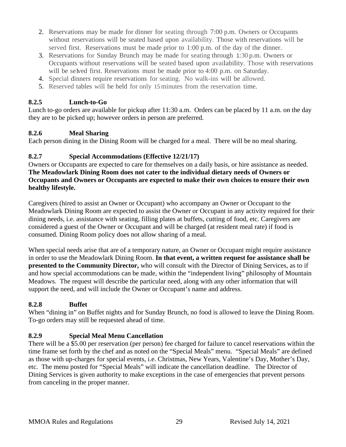- 2. Reservations may be made for dinner for seating through 7:00 p.m. Owners or Occupants without reservations will be seated based upon availability. Those with reservations will be served first. Reservations must be made prior to 1:00 p.m. of the day of the dinner.
- 3. Reservations for Sunday Brunch may be made for seating through 1:30 p.m. Owners or Occupants without reservations will be seated based upon availability. Those with reservations will be selved first. Reservations must be made prior to  $4:00$  p.m. on Saturday.
- 4. Special dinners require reservations for seating. No walk-ins will be allowed.
- <span id="page-28-0"></span>5. Reserved tables will be held for only 15minutes from the reservation time.

## **8.2.5 Lunch-to-Go**

Lunch to-go orders are available for pickup after 11:30 a.m. Orders can be placed by 11 a.m. on the day they are to be picked up; however orders in person are preferred.

## <span id="page-28-1"></span>**8.2.6 Meal Sharing**

Each person dining in the Dining Room will be charged for a meal. There will be no meal sharing.

## <span id="page-28-2"></span>**8.2.7 Special Accommodations (Effective 12/21/17)**

Owners or Occupants are expected to care for themselves on a daily basis, or hire assistance as needed. **The Meadowlark Dining Room does not cater to the individual dietary needs of Owners or Occupants and Owners or Occupants are expected to make their own choices to ensure their own healthy lifestyle.**

Caregivers (hired to assist an Owner or Occupant) who accompany an Owner or Occupant to the Meadowlark Dining Room are expected to assist the Owner or Occupant in any activity required for their dining needs, i.e. assistance with seating, filling plates at buffets, cutting of food, etc. Caregivers are considered a guest of the Owner or Occupant and will be charged (at resident meal rate) if food is consumed. Dining Room policy does not allow sharing of a meal.

When special needs arise that are of a temporary nature, an Owner or Occupant might require assistance in order to use the Meadowlark Dining Room. **In that event, a written request for assistance shall be presented to the Community Director,** who will consult with the Director of Dining Services, as to if and how special accommodations can be made, within the "independent living" philosophy of Mountain Meadows. The request will describe the particular need, along with any other information that will support the need, and will include the Owner or Occupant's name and address.

## <span id="page-28-3"></span>**8.2.8 Buffet**

When "dining in" on Buffet nights and for Sunday Brunch, no food is allowed to leave the Dining Room. To-go orders may still be requested ahead of time.

## <span id="page-28-4"></span>**8.2.9 Special Meal Menu Cancellation**

There will be a \$5.00 per reservation (per person) fee charged for failure to cancel reservations within the time frame set forth by the chef and as noted on the "Special Meals" menu. "Special Meals" are defined as those with up-charges for special events, i.e. Christmas, New Years, Valentine's Day, Mother's Day, etc. The menu posted for "Special Meals" will indicate the cancellation deadline. The Director of Dining Services is given authority to make exceptions in the case of emergencies that prevent persons from canceling in the proper manner.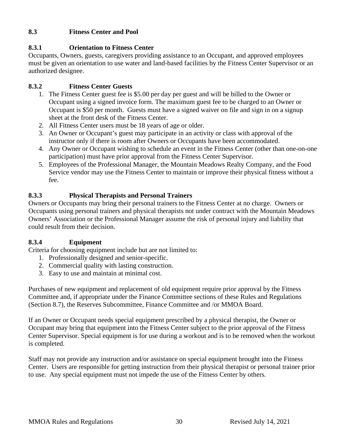## <span id="page-29-0"></span>**8.3 Fitness Center and Pool**

## <span id="page-29-1"></span>**8.3.1 Orientation to Fitness Center**

Occupants, Owners, guests, caregivers providing assistance to an Occupant, and approved employees must be given an orientation to use water and land-based facilities by the Fitness Center Supervisor or an authorized designee.

## <span id="page-29-2"></span>**8.3.2 Fitness Center Guests**

- 1. The Fitness Center guest fee is \$5.00 per day per guest and will be billed to the Owner or Occupant using a signed invoice form. The maximum guest fee to be charged to an Owner or Occupant is \$50 per month. Guests must have a signed waiver on file and sign in on a signup sheet at the front desk of the Fitness Center.
- 2. All Fitness Center users must be 18 years of age or older.
- 3. An Owner or Occupant's guest may participate in an activity or class with approval of the instructor only if there is room after Owners or Occupants have been accommodated.
- 4. Any Owner or Occupant wishing to schedule an event in the Fitness Center (other than one-on-one participation) must have prior approval from the Fitness Center Supervisor.
- 5. Employees of the Professional Manager, the Mountain Meadows Realty Company, and the Food Service vendor may use the Fitness Center to maintain or improve their physical fitness without a fee.

## <span id="page-29-3"></span>**8.3.3 Physical Therapists and Personal Trainers**

Owners or Occupants may bring their personal trainers to the Fitness Center at no charge. Owners or Occupants using personal trainers and physical therapists not under contract with the Mountain Meadows Owners' Association or the Professional Manager assume the risk of personal injury and liability that could result from their decision.

## <span id="page-29-4"></span>**8.3.4 Equipment**

Criteria for choosing equipment include but are not limited to:

- 1. Professionally designed and senior-specific.
- 2. Commercial quality with lasting construction.
- 3. Easy to use and maintain at minimal cost.

Purchases of new equipment and replacement of old equipment require prior approval by the Fitness Committee and, if appropriate under the Finance Committee sections of these Rules and Regulations (Section 8.7), the Reserves Subcommittee, Finance Committee and /or MMOA Board.

If an Owner or Occupant needs special equipment prescribed by a physical therapist, the Owner or Occupant may bring that equipment into the Fitness Center subject to the prior approval of the Fitness Center Supervisor. Special equipment is for use during a workout and is to be removed when the workout is completed.

Staff may not provide any instruction and/or assistance on special equipment brought into the Fitness Center. Users are responsible for getting instruction from their physical therapist or personal trainer prior to use. Any special equipment must not impede the use of the Fitness Center by others.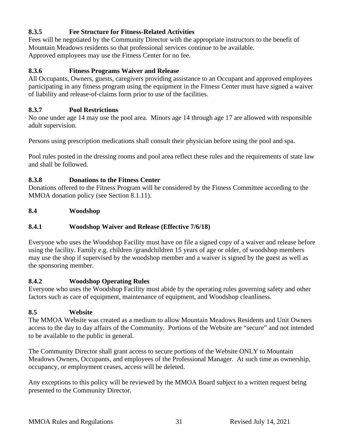## <span id="page-30-0"></span>**8.3.5 Fee Structure for Fitness-Related Activities**

Fees will be negotiated by the Community Director with the appropriate instructors to the benefit of Mountain Meadows residents so that professional services continue to be available. Approved employees may use the Fitness Center for no fee.

## <span id="page-30-1"></span>**8.3.6 Fitness Programs Waiver and Release**

All Occupants, Owners, guests, caregivers providing assistance to an Occupant and approved employees participating in any fitness program using the equipment in the Fitness Center must have signed a waiver of liability and release-of-claims form prior to use of the facilities.

### <span id="page-30-2"></span>**8.3.7 Pool Restrictions**

No one under age 14 may use the pool area. Minors age 14 through age 17 are allowed with responsible adult supervision.

Persons using prescription medications shall consult their physician before using the pool and spa.

Pool rules posted in the dressing rooms and pool area reflect these rules and the requirements of state law and shall be followed.

## <span id="page-30-3"></span>**8.3.8 Donations to the Fitness Center**

Donations offered to the Fitness Program will be considered by the Fitness Committee according to the MMOA donation policy (see Section 8.1.11).

## <span id="page-30-4"></span>**8.4 Woodshop**

## **8.4.1 Woodshop Waiver and Release (Effective 7/6/18)**

Everyone who uses the Woodshop Facility must have on file a signed copy of a waiver and release before using the facility. Family e.g. children /grandchildren 15 years of age or older, of woodshop members may use the shop if supervised by the woodshop member and a waiver is signed by the guest as well as the sponsoring member.

#### <span id="page-30-5"></span>**8.4.2 Woodshop Operating Rules**

Everyone who uses the Woodshop Facility must abide by the operating rules governing safety and other factors such as care of equipment, maintenance of equipment, and Woodshop cleanliness.

#### <span id="page-30-6"></span>**8.5 Website**

The MMOA Website was created as a medium to allow Mountain Meadows Residents and Unit Owners access to the day to day affairs of the Community. Portions of the Website are "secure" and not intended to be available to the public in general.

The Community Director shall grant access to secure portions of the Website ONLY to Mountain Meadows Owners, Occupants, and employees of the Professional Manager. At such time as ownership, occupancy, or employment ceases, access will be deleted.

Any exceptions to this policy will be reviewed by the MMOA Board subject to a written request being presented to the Community Director.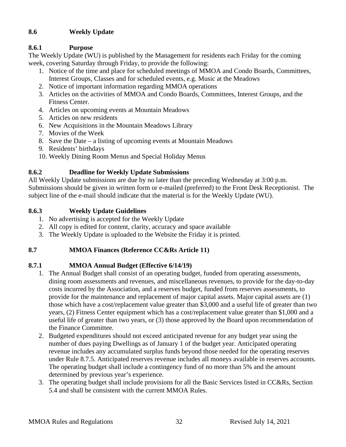## <span id="page-31-0"></span>**8.6 Weekly Update**

## <span id="page-31-1"></span>**8.6.1 Purpose**

The Weekly Update (WU) is published by the Management for residents each Friday for the coming week, covering Saturday through Friday, to provide the following:

- 1. Notice of the time and place for scheduled meetings of MMOA and Condo Boards, Committees, Interest Groups, Classes and for scheduled events, e.g. Music at the Meadows
- 2. Notice of important information regarding MMOA operations
- 3. Articles on the activities of MMOA and Condo Boards, Committees, Interest Groups, and the Fitness Center.
- 4. Articles on upcoming events at Mountain Meadows
- 5. Articles on new residents
- 6. New Acquisitions in the Mountain Meadows Library
- 7. Movies of the Week
- 8. Save the Date a listing of upcoming events at Mountain Meadows
- 9. Residents' birthdays
- 10. Weekly Dining Room Menus and Special Holiday Menus

## <span id="page-31-2"></span>**8.6.2 Deadline for Weekly Update Submissions**

All Weekly Update submissions are due by no later than the preceding Wednesday at 3:00 p.m. Submissions should be given in written form or e-mailed (preferred) to the Front Desk Receptionist. The subject line of the e-mail should indicate that the material is for the Weekly Update (WU).

## <span id="page-31-3"></span>**8.6.3 Weekly Update Guidelines**

- 1. No advertising is accepted for the Weekly Update
- 2. All copy is edited for content, clarity, accuracy and space available
- 3. The Weekly Update is uploaded to the Website the Friday it is printed.

## <span id="page-31-4"></span>**8.7 MMOA Finances (Reference CC&Rs Article 11)**

## <span id="page-31-5"></span>**8.7.1 MMOA Annual Budget (Effective 6/14/19)**

- 1. The Annual Budget shall consist of an operating budget, funded from operating assessments, dining room assessments and revenues, and miscellaneous revenues, to provide for the day-to-day costs incurred by the Association, and a reserves budget, funded from reserves assessments, to provide for the maintenance and replacement of major capital assets. Major capital assets are (1) those which have a cost/replacement value greater than \$3,000 and a useful life of greater than two years, (2) Fitness Center equipment which has a cost/replacement value greater than \$1,000 and a useful life of greater than two years, or (3) those approved by the Board upon recommendation of the Finance Committee.
- 2. Budgeted expenditures should not exceed anticipated revenue for any budget year using the number of dues paying Dwellings as of January 1 of the budget year. Anticipated operating revenue includes any accumulated surplus funds beyond those needed for the operating reserves under Rule 8.7.5. Anticipated reserves revenue includes all moneys available in reserves accounts. The operating budget shall include a contingency fund of no more than 5% and the amount determined by previous year's experience.
- 3. The operating budget shall include provisions for all the Basic Services listed in CC&Rs, Section 5.4 and shall be consistent with the current MMOA Rules.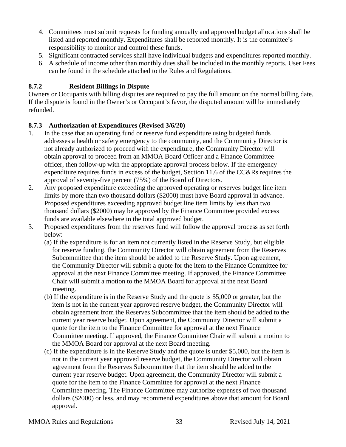- 4. Committees must submit requests for funding annually and approved budget allocations shall be listed and reported monthly. Expenditures shall be reported monthly. It is the committee's responsibility to monitor and control these funds.
- 5. Significant contracted services shall have individual budgets and expenditures reported monthly.
- 6. A schedule of income other than monthly dues shall be included in the monthly reports. User Fees can be found in the schedule attached to the Rules and Regulations.

## <span id="page-32-0"></span>**8.7.2 Resident Billings in Dispute**

Owners or Occupants with billing disputes are required to pay the full amount on the normal billing date. If the dispute is found in the Owner's or Occupant's favor, the disputed amount will be immediately refunded.

## <span id="page-32-1"></span>**8.7.3 Authorization of Expenditures (Revised 3/6/20)**

- 1. In the case that an operating fund or reserve fund expenditure using budgeted funds addresses a health or safety emergency to the community, and the Community Director is not already authorized to proceed with the expenditure, the Community Director will obtain approval to proceed from an MMOA Board Officer and a Finance Committee officer, then follow-up with the appropriate approval process below. If the emergency expenditure requires funds in excess of the budget, Section 11.6 of the CC&Rs requires the approval of seventy-five percent (75%) of the Board of Directors.
- 2. Any proposed expenditure exceeding the approved operating or reserves budget line item limits by more than two thousand dollars (\$2000) must have Board approval in advance. Proposed expenditures exceeding approved budget line item limits by less than two thousand dollars (\$2000) may be approved by the Finance Committee provided excess funds are available elsewhere in the total approved budget.
- 3. Proposed expenditures from the reserves fund will follow the approval process as set forth below:
	- (a) If the expenditure is for an item not currently listed in the Reserve Study, but eligible for reserve funding, the Community Director will obtain agreement from the Reserves Subcommittee that the item should be added to the Reserve Study. Upon agreement, the Community Director will submit a quote for the item to the Finance Committee for approval at the next Finance Committee meeting. If approved, the Finance Committee Chair will submit a motion to the MMOA Board for approval at the next Board meeting.
	- (b) If the expenditure is in the Reserve Study and the quote is \$5,000 or greater, but the item is not in the current year approved reserve budget, the Community Director will obtain agreement from the Reserves Subcommittee that the item should be added to the current year reserve budget. Upon agreement, the Community Director will submit a quote for the item to the Finance Committee for approval at the next Finance Committee meeting. If approved, the Finance Committee Chair will submit a motion to the MMOA Board for approval at the next Board meeting.
	- (c) If the expenditure is in the Reserve Study and the quote is under \$5,000, but the item is not in the current year approved reserve budget, the Community Director will obtain agreement from the Reserves Subcommittee that the item should be added to the current year reserve budget. Upon agreement, the Community Director will submit a quote for the item to the Finance Committee for approval at the next Finance Committee meeting. The Finance Committee may authorize expenses of two thousand dollars (\$2000) or less, and may recommend expenditures above that amount for Board approval.

MMOA Rules and Regulations 33 Revised July 14, 2021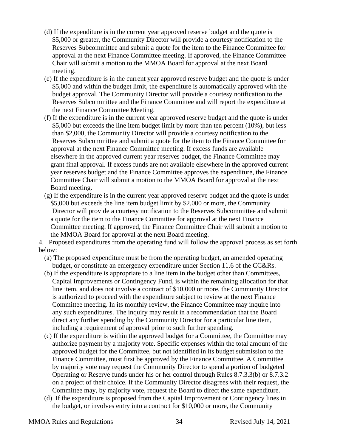- (d) If the expenditure is in the current year approved reserve budget and the quote is \$5,000 or greater, the Community Director will provide a courtesy notification to the Reserves Subcommittee and submit a quote for the item to the Finance Committee for approval at the next Finance Committee meeting. If approved, the Finance Committee Chair will submit a motion to the MMOA Board for approval at the next Board meeting.
- (e) If the expenditure is in the current year approved reserve budget and the quote is under \$5,000 and within the budget limit, the expenditure is automatically approved with the budget approval. The Community Director will provide a courtesy notification to the Reserves Subcommittee and the Finance Committee and will report the expenditure at the next Finance Committee Meeting.
- (f) If the expenditure is in the current year approved reserve budget and the quote is under \$5,000 but exceeds the line item budget limit by more than ten percent (10%), but less than \$2,000, the Community Director will provide a courtesy notification to the Reserves Subcommittee and submit a quote for the item to the Finance Committee for approval at the next Finance Committee meeting. If excess funds are available elsewhere in the approved current year reserves budget, the Finance Committee may grant final approval. If excess funds are not available elsewhere in the approved current year reserves budget and the Finance Committee approves the expenditure, the Finance Committee Chair will submit a motion to the MMOA Board for approval at the next Board meeting.
- (g) If the expenditure is in the current year approved reserve budget and the quote is under \$5,000 but exceeds the line item budget limit by \$2,000 or more, the Community Director will provide a courtesy notification to the Reserves Subcommittee and submit a quote for the item to the Finance Committee for approval at the next Finance Committee meeting. If approved, the Finance Committee Chair will submit a motion to the MMOA Board for approval at the next Board meeting.

4. Proposed expenditures from the operating fund will follow the approval process as set forth below:

- (a) The proposed expenditure must be from the operating budget, an amended operating budget, or constitute an emergency expenditure under Section 11.6 of the CC&Rs.
- (b) If the expenditure is appropriate to a line item in the budget other than Committees, Capital Improvements or Contingency Fund, is within the remaining allocation for that line item, and does not involve a contract of \$10,000 or more, the Community Director is authorized to proceed with the expenditure subject to review at the next Finance Committee meeting. In its monthly review, the Finance Committee may inquire into any such expenditures. The inquiry may result in a recommendation that the Board direct any further spending by the Community Director for a particular line item, including a requirement of approval prior to such further spending.
- (c) If the expenditure is within the approved budget for a Committee, the Committee may authorize payment by a majority vote. Specific expenses within the total amount of the approved budget for the Committee, but not identified in its budget submission to the Finance Committee, must first be approved by the Finance Committee. A Committee by majority vote may request the Community Director to spend a portion of budgeted Operating or Reserve funds under his or her control through Rules 8.7.3.3(b) or 8.7.3.2 on a project of their choice. If the Community Director disagrees with their request, the Committee may, by majority vote, request the Board to direct the same expenditure.
- (d) If the expenditure is proposed from the Capital Improvement or Contingency lines in the budget, or involves entry into a contract for \$10,000 or more, the Community

MMOA Rules and Regulations 34 Revised July 14, 2021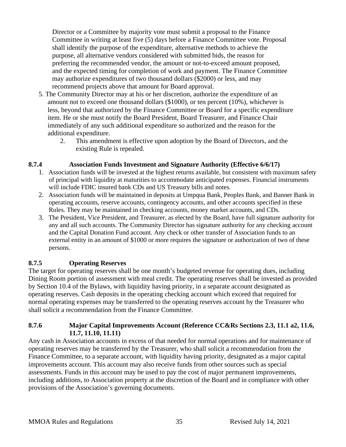Director or a Committee by majority vote must submit a proposal to the Finance Committee in writing at least five (5) days before a Finance Committee vote. Proposal shall identify the purpose of the expenditure, alternative methods to achieve the purpose, all alternative vendors considered with submitted bids, the reason for preferring the recommended vendor, the amount or not-to-exceed amount proposed, and the expected timing for completion of work and payment. The Finance Committee may authorize expenditures of two thousand dollars (\$2000) or less, and may recommend projects above that amount for Board approval.

- 5. The Community Director may at his or her discretion, authorize the expenditure of an amount not to exceed one thousand dollars (\$1000), or ten percent (10%), whichever is less, beyond that authorized by the Finance Committee or Board for a specific expenditure item. He or she must notify the Board President, Board Treasurer, and Finance Chair immediately of any such additional expenditure so authorized and the reason for the additional expenditure.
	- 2. This amendment is effective upon adoption by the Board of Directors, and the existing Rule is repealed.

#### <span id="page-34-0"></span>**8.7.4 Association Funds Investment and Signature Authority (Effective 6/6/17)**

- 1. Association funds will be invested at the highest returns available, but consistent with maximum safety of principal with liquidity at maturities to accommodate anticipated expenses. Financial instruments will include FDIC insured bank CDs and US Treasury bills and notes.
- 2. Association funds will be maintained in deposits at Umpqua Bank, Peoples Bank, and Banner Bank in operating accounts, reserve accounts, contingency accounts, and other accounts specified in these Rules. They may be maintained in checking accounts, money market accounts, and CDs.
- 3. The President, Vice President, and Treasurer, as elected by the Board, have full signature authority for any and all such accounts. The Community Director has signature authority for any checking account and the Capital Donation Fund account. Any check or other transfer of Association funds to an external entity in an amount of \$1000 or more requires the signature or authorization of two of these persons.

## <span id="page-34-1"></span>**8.7.5 Operating Reserves**

The target for operating reserves shall be one month's budgeted revenue for operating dues, including Dining Room portion of assessment with meal credit. The operating reserves shall be invested as provided by Section 10.4 of the Bylaws, with liquidity having priority, in a separate account designated as operating reserves. Cash deposits in the operating checking account which exceed that required for normal operating expenses may be transferred to the operating reserves account by the Treasurer who shall solicit a recommendation from the Finance Committee.

#### <span id="page-34-2"></span>**8.7.6 Major Capital Improvements Account (Reference CC&Rs Sections 2.3, 11.1 a2, 11.6, 11.7, 11.10, 11.11)**

Any cash in Association accounts in excess of that needed for normal operations and for maintenance of operating reserves may be transferred by the Treasurer, who shall solicit a recommendation from the Finance Committee, to a separate account, with liquidity having priority, designated as a major capital improvements account. This account may also receive funds from other sources such as special assessments. Funds in this account may be used to pay the cost of major permanent improvements, including additions, to Association property at the discretion of the Board and in compliance with other provisions of the Association's governing documents.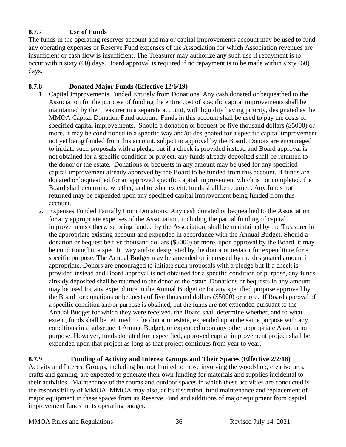## <span id="page-35-0"></span>**8.7.7 Use of Funds**

The funds in the operating reserves account and major capital improvements account may be used to fund any operating expenses or Reserve Fund expenses of the Association for which Association revenues are insufficient or cash flow is insufficient. The Treasurer may authorize any such use if repayment is to occur within sixty (60) days. Board approval is required if no repayment is to be made within sixty (60) days.

## <span id="page-35-1"></span>**8.7.8 Donated Major Funds (Effective 12/6/19)**

- 1. Capital Improvements Funded Entirely from Donations. Any cash donated or bequeathed to the Association for the purpose of funding the entire cost of specific capital improvements shall be maintained by the Treasurer in a separate account, with liquidity having priority, designated as the MMOA Capital Donation Fund account. Funds in this account shall be used to pay the costs of specified capital improvements. Should a donation or bequest be five thousand dollars (\$5000) or more, it may be conditioned in a specific way and/or designated for a specific capital improvement not yet being funded from this account, subject to approval by the Board. Donors are encouraged to initiate such proposals with a pledge but if a check is provided instead and Board approval is not obtained for a specific condition or project, any funds already deposited shall be returned to the donor or the estate. Donations or bequests in any amount may be used for any specified capital improvement already approved by the Board to be funded from this account. If funds are donated or bequeathed for an approved specific capital improvement which is not completed, the Board shall determine whether, and to what extent, funds shall be returned. Any funds not returned may be expended upon any specified capital improvement being funded from this account.
- 2. Expenses Funded Partially From Donations. Any cash donated or bequeathed to the Association for any appropriate expenses of the Association, including the partial funding of capital improvements otherwise being funded by the Association, shall be maintained by the Treasurer in the appropriate existing account and expended in accordance with the Annual Budget. Should a donation or bequest be five thousand dollars (\$5000) or more, upon approval by the Board, it may be conditioned in a specific way and/or designated by the donor or testator for expenditure for a specific purpose. The Annual Budget may be amended or increased by the designated amount if appropriate. Donors are encouraged to initiate such proposals with a pledge but If a check is provided instead and Board approval is not obtained for a specific condition or purpose, any funds already deposited shall be returned to the donor or the estate. Donations or bequests in any amount may be used for any expenditure in the Annual Budget or for any specified purpose approved by the Board for donations or bequests of five thousand dollars (\$5000) or more. If Board approval of a specific condition and/or purpose is obtained, but the funds are not expended pursuant to the Annual Budget for which they were received, the Board shall determine whether, and to what extent, funds shall be returned to the donor or estate, expended upon the same purpose with any conditions in a subsequent Annual Budget, or expended upon any other appropriate Association purpose. However, funds donated for a specified, approved capital improvement project shall be expended upon that project as long as that project continues from year to year.

<span id="page-35-2"></span>**8.7.9 Funding of Activity and Interest Groups and Their Spaces (Effective 2/2/18)** Activity and Interest Groups, including but not limited to those involving the woodshop, creative arts, crafts and gaming, are expected to generate their own funding for materials and supplies incidental to their activities. Maintenance of the rooms and outdoor spaces in which these activities are conducted is the responsibility of MMOA. MMOA may also, at its discretion, fund maintenance and replacement of major equipment in these spaces from its Reserve Fund and additions of major equipment from capital improvement funds in its operating budget.

#### MMOA Rules and Regulations 36 Revised July 14, 2021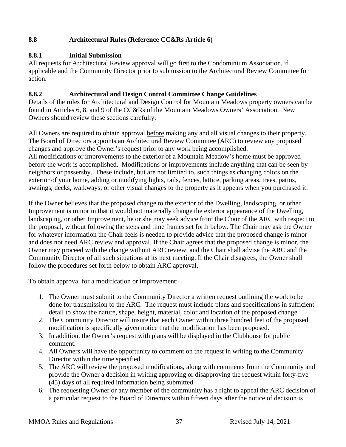## <span id="page-36-0"></span>**8.8 Architectural Rules (Reference CC&Rs Article 6)**

## <span id="page-36-1"></span>**8.8.1 Initial Submission**

All requests for Architectural Review approval will go first to the Condominium Association, if applicable and the Community Director prior to submission to the Architectural Review Committee for action.

## <span id="page-36-2"></span>**8.8.2 Architectural and Design Control Committee Change Guidelines**

Details of the rules for Architectural and Design Control for Mountain Meadows property owners can be found in Articles 6, 8, and 9 of the CC&Rs of the Mountain Meadows Owners' Association. New Owners should review these sections carefully.

All Owners are required to obtain approval before making any and all visual changes to their property. The Board of Directors appoints an Architectural Review Committee (ARC) to review any proposed changes and approve the Owner's request prior to any work being accomplished. All modifications or improvements to the exterior of a Mountain Meadow's home must be approved before the work is accomplished. Modifications or improvements include anything that can be seen by neighbors or passersby. These include, but are not limited to, such things as changing colors on the exterior of your home, adding or modifying lights, rails, fences, lattice, parking areas, trees, patios, awnings, decks, walkways, or other visual changes to the property as it appears when you purchased it.

If the Owner believes that the proposed change to the exterior of the Dwelling, landscaping, or other Improvement is minor in that it would not materially change the exterior appearance of the Dwelling, landscaping, or other Improvement, he or she may seek advice from the Chair of the ARC with respect to the proposal, without following the steps and time frames set forth below. The Chair may ask the Owner for whatever information the Chair feels is needed to provide advice that the proposed change is minor and does not need ARC review and approval. If the Chair agrees that the proposed change is minor, the Owner may proceed with the change without ARC review, and the Chair shall advise the ARC and the Community Director of all such situations at its next meeting. If the Chair disagrees, the Owner shall follow the procedures set forth below to obtain ARC approval.

To obtain approval for a modification or improvement:

- 1. The Owner must submit to the Community Director a written request outlining the work to be done for transmission to the ARC. The request must include plans and specifications in sufficient detail to show the nature, shape, height, material, color and location of the proposed change.
- 2. The Community Director will insure that each Owner within three hundred feet of the proposed modification is specifically given notice that the modification has been proposed.
- 3. In addition, the Owner's request with plans will be displayed in the Clubhouse for public comment.
- 4. All Owners will have the opportunity to comment on the request in writing to the Community Director within the time specified.
- 5. The ARC will review the proposed modifications, along with comments from the Community and provide the Owner a decision in writing approving or disapproving the request within forty-five (45) days of all required information being submitted.
- 6. The requesting Owner or any member of the community has a right to appeal the ARC decision of a particular request to the Board of Directors within fifteen days after the notice of decision is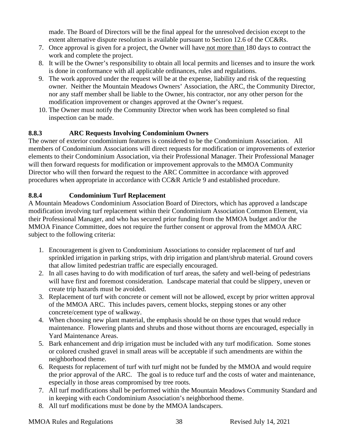made. The Board of Directors will be the final appeal for the unresolved decision except to the extent alternative dispute resolution is available pursuant to Section 12.6 of the CC&Rs.

- 7. Once approval is given for a project, the Owner will have not more than 180 days to contract the work and complete the project.
- 8. It will be the Owner's responsibility to obtain all local permits and licenses and to insure the work is done in conformance with all applicable ordinances, rules and regulations.
- 9. The work approved under the request will be at the expense, liability and risk of the requesting owner. Neither the Mountain Meadows Owners' Association, the ARC, the Community Director, nor any staff member shall be liable to the Owner, his contractor, nor any other person for the modification improvement or changes approved at the Owner's request.
- 10. The Owner must notify the Community Director when work has been completed so final inspection can be made.

## <span id="page-37-0"></span>**8.8.3 ARC Requests Involving Condominium Owners**

The owner of exterior condominium features is considered to be the Condominium Association. All members of Condominium Associations will direct requests for modification or improvements of exterior elements to their Condominium Association, via their Professional Manager. Their Professional Manager will then forward requests for modification or improvement approvals to the MMOA Community Director who will then forward the request to the ARC Committee in accordance with approved procedures when appropriate in accordance with CC&R Article 9 and established procedure.

## <span id="page-37-1"></span>**8.8.4 Condominium Turf Replacement**

A Mountain Meadows Condominium Association Board of Directors, which has approved a landscape modification involving turf replacement within their Condominium Association Common Element, via their Professional Manager, and who has secured prior funding from the MMOA budget and/or the MMOA Finance Committee, does not require the further consent or approval from the MMOA ARC subject to the following criteria:

- 1. Encouragement is given to Condominium Associations to consider replacement of turf and sprinkled irrigation in parking strips, with drip irrigation and plant/shrub material. Ground covers that allow limited pedestrian traffic are especially encouraged.
- 2. In all cases having to do with modification of turf areas, the safety and well-being of pedestrians will have first and foremost consideration. Landscape material that could be slippery, uneven or create trip hazards must be avoided.
- 3. Replacement of turf with concrete or cement will not be allowed, except by prior written approval of the MMOA ARC. This includes pavers, cement blocks, stepping stones or any other concrete/cement type of walkway.
- 4. When choosing new plant material, the emphasis should be on those types that would reduce maintenance. Flowering plants and shrubs and those without thorns are encouraged, especially in Yard Maintenance Areas.
- 5. Bark enhancement and drip irrigation must be included with any turf modification. Some stones or colored crushed gravel in small areas will be acceptable if such amendments are within the neighborhood theme.
- 6. Requests for replacement of turf with turf might not be funded by the MMOA and would require the prior approval of the ARC. The goal is to reduce turf and the costs of water and maintenance, especially in those areas compromised by tree roots.
- 7. All turf modifications shall be performed within the Mountain Meadows Community Standard and in keeping with each Condominium Association's neighborhood theme.
- 8. All turf modifications must be done by the MMOA landscapers.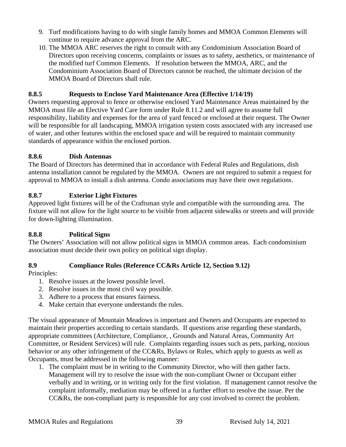- 9. Turf modifications having to do with single family homes and MMOA Common Elements will continue to require advance approval from the ARC.
- 10. The MMOA ARC reserves the right to consult with any Condominium Association Board of Directors upon receiving concerns, complaints or issues as to safety, aesthetics, or maintenance of the modified turf Common Elements. If resolution between the MMOA, ARC, and the Condominium Association Board of Directors cannot be reached, the ultimate decision of the MMOA Board of Directors shall rule.

## **8.8.5 Requests to Enclose Yard Maintenance Area (Effective 1/14/19)**

Owners requesting approval to fence or otherwise enclosed Yard Maintenance Areas maintained by the MMOA must file an Elective Yard Care form under Rule 8.11.2 and will agree to assume full responsibility, liability and expenses for the area of yard fenced or enclosed at their request. The Owner will be responsible for all landscaping, MMOA irrigation system costs associated with any increased use of water, and other features within the enclosed space and will be required to maintain community standards of appearance within the enclosed portion.

## <span id="page-38-0"></span>**8.8.6 Dish Antennas**

The Board of Directors has determined that in accordance with Federal Rules and Regulations, dish antenna installation cannot be regulated by the MMOA. Owners are not required to submit a request for approval to MMOA to install a dish antenna. Condo associations may have their own regulations.

## <span id="page-38-1"></span>**8.8.7 Exterior Light Fixtures**

Approved light fixtures will be of the Craftsman style and compatible with the surrounding area. The fixture will not allow for the light source to be visible from adjacent sidewalks or streets and will provide for down-lighting illumination.

## <span id="page-38-2"></span>**8.8.8 Political Signs**

The Owners' Association will not allow political signs in MMOA common areas. Each condominium association must decide their own policy on political sign display.

## <span id="page-38-3"></span>**8.9 Compliance Rules (Reference CC&Rs Article 12, Section 9.12)**

## Principles:

- 1. Resolve issues at the lowest possible level.
- 2. Resolve issues in the most civil way possible.
- 3. Adhere to a process that ensures fairness.
- 4. Make certain that everyone understands the rules.

The visual appearance of Mountain Meadows is important and Owners and Occupants are expected to maintain their properties according to certain standards. If questions arise regarding these standards, appropriate committees (Architecture, Compliance, , Grounds and Natural Areas, Community Art Committee, or Resident Services) will rule. Complaints regarding issues such as pets, parking, noxious behavior or any other infringement of the CC&Rs, Bylaws or Rules, which apply to guests as well as Occupants, must be addressed in the following manner:

1. The complaint must be in writing to the Community Director, who will then gather facts. Management will try to resolve the issue with the non-compliant Owner or Occupant either verbally and in writing, or in writing only for the first violation. If management cannot resolve the complaint informally, mediation may be offered in a further effort to resolve the issue. Per the CC&Rs, the non-compliant party is responsible for any cost involved to correct the problem.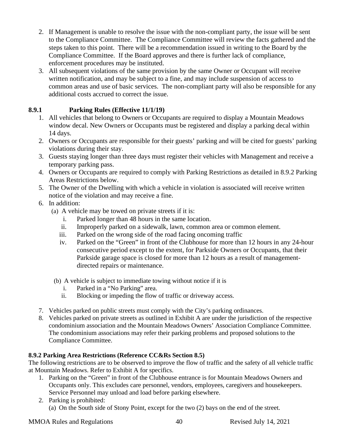- 2. If Management is unable to resolve the issue with the non-compliant party, the issue will be sent to the Compliance Committee. The Compliance Committee will review the facts gathered and the steps taken to this point. There will be a recommendation issued in writing to the Board by the Compliance Committee. If the Board approves and there is further lack of compliance, enforcement procedures may be instituted.
- 3. All subsequent violations of the same provision by the same Owner or Occupant will receive written notification, and may be subject to a fine, and may include suspension of access to common areas and use of basic services. The non-compliant party will also be responsible for any additional costs accrued to correct the issue.

## <span id="page-39-0"></span>**8.9.1 Parking Rules (Effective 11/1/19)**

- 1. All vehicles that belong to Owners or Occupants are required to display a Mountain Meadows window decal. New Owners or Occupants must be registered and display a parking decal within 14 days.
- 2. Owners or Occupants are responsible for their guests' parking and will be cited for guests' parking violations during their stay.
- 3. Guests staying longer than three days must register their vehicles with Management and receive a temporary parking pass.
- 4. Owners or Occupants are required to comply with Parking Restrictions as detailed in 8.9.2 Parking Areas Restrictions below.
- 5. The Owner of the Dwelling with which a vehicle in violation is associated will receive written notice of the violation and may receive a fine.
- 6. In addition:
	- (a) A vehicle may be towed on private streets if it is:
		- i. Parked longer than 48 hours in the same location.
		- ii. Improperly parked on a sidewalk, lawn, common area or common element.
		- iii. Parked on the wrong side of the road facing oncoming traffic
		- iv. Parked on the "Green" in front of the Clubhouse for more than 12 hours in any 24-hour consecutive period except to the extent, for Parkside Owners or Occupants, that their Parkside garage space is closed for more than 12 hours as a result of managementdirected repairs or maintenance.
	- (b) A vehicle is subject to immediate towing without notice if it is
		- i. Parked in a "No Parking" area.
		- ii. Blocking or impeding the flow of traffic or driveway access.
- 7. Vehicles parked on public streets must comply with the City's parking ordinances.
- 8. Vehicles parked on private streets as outlined in Exhibit A are under the jurisdiction of the respective condominium association and the Mountain Meadows Owners' Association Compliance Committee. The condominium associations may refer their parking problems and proposed solutions to the Compliance Committee.

## **8.9.2 Parking Area Restrictions (Reference CC&Rs Section 8.5)**

The following restrictions are to be observed to improve the flow of traffic and the safety of all vehicle traffic at Mountain Meadows. Refer to Exhibit A for specifics.

- 1. Parking on the "Green" in front of the Clubhouse entrance is for Mountain Meadows Owners and Occupants only. This excludes care personnel, vendors, employees, caregivers and housekeepers. Service Personnel may unload and load before parking elsewhere.
- 2. Parking is prohibited: (a) On the South side of Stony Point, except for the two (2) bays on the end of the street.

MMOA Rules and Regulations 40 Revised July 14, 2021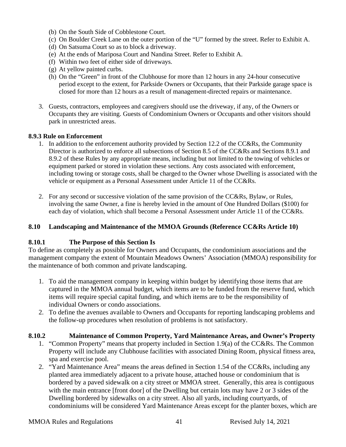- (b) On the South Side of Cobblestone Court.
- (c) On Boulder Creek Lane on the outer portion of the "U" formed by the street. Refer to Exhibit A.
- (d) On Satsuma Court so as to block a driveway.
- (e) At the ends of Mariposa Court and Nandina Street. Refer to Exhibit A.
- (f) Within two feet of either side of driveways.
- (g) At yellow painted curbs.
- (h) On the "Green" in front of the Clubhouse for more than 12 hours in any 24-hour consecutive period except to the extent, for Parkside Owners or Occupants, that their Parkside garage space is closed for more than 12 hours as a result of management-directed repairs or maintenance.
- 3. Guests, contractors, employees and caregivers should use the driveway, if any, of the Owners or Occupants they are visiting. Guests of Condominium Owners or Occupants and other visitors should park in unrestricted areas.

#### **8.9.3 Rule on Enforcement**

- 1. In addition to the enforcement authority provided by Section 12.2 of the CC&Rs, the Community Director is authorized to enforce all subsections of Section 8.5 of the CC&Rs and Sections 8.9.1 and 8.9.2 of these Rules by any appropriate means, including but not limited to the towing of vehicles or equipment parked or stored in violation these sections. Any costs associated with enforcement, including towing or storage costs, shall be charged to the Owner whose Dwelling is associated with the vehicle or equipment as a Personal Assessment under Article 11 of the CC&Rs.
- 2. For any second or successive violation of the same provision of the CC&Rs, Bylaw, or Rules, involving the same Owner, a fine is hereby levied in the amount of One Hundred Dollars (\$100) for each day of violation, which shall become a Personal Assessment under Article 11 of the CC&Rs.

#### <span id="page-40-0"></span>**8.10 Landscaping and Maintenance of the MMOA Grounds (Reference CC&Rs Article 10)**

#### <span id="page-40-1"></span>**8.10.1 The Purpose of this Section Is**

To define as completely as possible for Owners and Occupants, the condominium associations and the management company the extent of Mountain Meadows Owners' Association (MMOA) responsibility for the maintenance of both common and private landscaping.

- 1. To aid the management company in keeping within budget by identifying those items that are captured in the MMOA annual budget, which items are to be funded from the reserve fund, which items will require special capital funding, and which items are to be the responsibility of individual Owners or condo associations.
- 2. To define the avenues available to Owners and Occupants for reporting landscaping problems and the follow-up procedures when resolution of problems is not satisfactory.

#### <span id="page-40-2"></span>**8.10.2 Maintenance of Common Property, Yard Maintenance Areas, and Owner's Property**

- 1. "Common Property" means that property included in Section 1.9(a) of the CC&Rs. The Common Property will include any Clubhouse facilities with associated Dining Room, physical fitness area, spa and exercise pool.
- 2. "Yard Maintenance Area" means the areas defined in Section 1.54 of the CC&Rs, including any planted area immediately adjacent to a private house, attached house or condominium that is bordered by a paved sidewalk on a city street or MMOA street. Generally, this area is contiguous with the main entrance [front door] of the Dwelling but certain lots may have 2 or 3 sides of the Dwelling bordered by sidewalks on a city street. Also all yards, including courtyards, of condominiums will be considered Yard Maintenance Areas except for the planter boxes, which are

#### MMOA Rules and Regulations 41 Revised July 14, 2021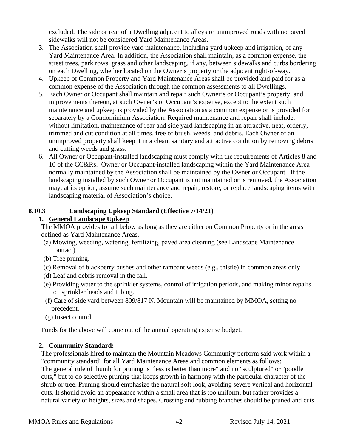excluded. The side or rear of a Dwelling adjacent to alleys or unimproved roads with no paved sidewalks will not be considered Yard Maintenance Areas.

- 3. The Association shall provide yard maintenance, including yard upkeep and irrigation, of any Yard Maintenance Area. In addition, the Association shall maintain, as a common expense, the street trees, park rows, grass and other landscaping, if any, between sidewalks and curbs bordering on each Dwelling, whether located on the Owner's property or the adjacent right-of-way.
- 4. Upkeep of Common Property and Yard Maintenance Areas shall be provided and paid for as a common expense of the Association through the common assessments to all Dwellings.
- 5. Each Owner or Occupant shall maintain and repair such Owner's or Occupant's property, and improvements thereon, at such Owner's or Occupant's expense, except to the extent such maintenance and upkeep is provided by the Association as a common expense or is provided for separately by a Condominium Association. Required maintenance and repair shall include, without limitation, maintenance of rear and side yard landscaping in an attractive, neat, orderly, trimmed and cut condition at all times, free of brush, weeds, and debris. Each Owner of an unimproved property shall keep it in a clean, sanitary and attractive condition by removing debris and cutting weeds and grass.
- 6. All Owner or Occupant-installed landscaping must comply with the requirements of Articles 8 and 10 of the CC&Rs. Owner or Occupant-installed landscaping within the Yard Maintenance Area normally maintained by the Association shall be maintained by the Owner or Occupant. If the landscaping installed by such Owner or Occupant is not maintained or is removed, the Association may, at its option, assume such maintenance and repair, restore, or replace landscaping items with landscaping material of Association's choice.

## <span id="page-41-0"></span>**8.10.3 Landscaping Upkeep Standard (Effective 7/14/21)**

## **1. General Landscape Upkeep**

The MMOA provides for all below as long as they are either on Common Property or in the areas defined as Yard Maintenance Areas.

- (a) Mowing, weeding, watering, fertilizing, paved area cleaning (see Landscape Maintenance contract).
- (b) Tree pruning.
- (c) Removal of blackberry bushes and other rampant weeds (e.g., thistle) in common areas only.
- (d) Leaf and debris removal in the fall.
- (e) Providing water to the sprinkler systems, control of irrigation periods, and making minor repairs to sprinkler heads and tubing.
- (f) Care of side yard between 809/817 N. Mountain will be maintained by MMOA, setting no precedent.
- (g) Insect control.

Funds for the above will come out of the annual operating expense budget.

#### **2. Community Standard:**

The professionals hired to maintain the Mountain Meadows Community perform said work within a "community standard" for all Yard Maintenance Areas and common elements as follows: The general rule of thumb for pruning is "less is better than more" and no "sculptured" or "poodle cuts," but to do selective pruning that keeps growth in harmony with the particular character of the shrub or tree. Pruning should emphasize the natural soft look, avoiding severe vertical and horizontal cuts. It should avoid an appearance within a small area that is too uniform, but rather provides a natural variety of heights, sizes and shapes. Crossing and rubbing branches should be pruned and cuts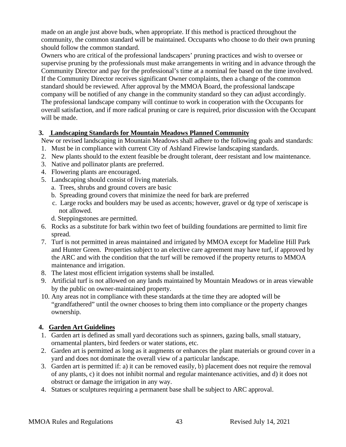made on an angle just above buds, when appropriate. If this method is practiced throughout the community, the common standard will be maintained. Occupants who choose to do their own pruning should follow the common standard.

Owners who are critical of the professional landscapers' pruning practices and wish to oversee or supervise pruning by the professionals must make arrangements in writing and in advance through the Community Director and pay for the professional's time at a nominal fee based on the time involved. If the Community Director receives significant Owner complaints, then a change of the common standard should be reviewed. After approval by the MMOA Board, the professional landscape company will be notified of any change in the community standard so they can adjust accordingly. The professional landscape company will continue to work in cooperation with the Occupants for overall satisfaction, and if more radical pruning or care is required, prior discussion with the Occupant will be made.

#### **3. Landscaping Standards for Mountain Meadows Planned Community**

New or revised landscaping in Mountain Meadows shall adhere to the following goals and standards:

- 1. Must be in compliance with current City of Ashland Firewise landscaping standards.
- 2. New plants should to the extent feasible be drought tolerant, deer resistant and low maintenance.
- 3. Native and pollinator plants are preferred.
- 4. Flowering plants are encouraged.
- 5. Landscaping should consist of living materials.
	- a. Trees, shrubs and ground covers are basic
	- b. Spreading ground covers that minimize the need for bark are preferred
	- c. Large rocks and boulders may be used as accents; however, gravel or dg type of xeriscape is not allowed.
	- d. Steppingstones are permitted.
- 6. Rocks as a substitute for bark within two feet of building foundations are permitted to limit fire spread.
- 7. Turf is not permitted in areas maintained and irrigated by MMOA except for Madeline Hill Park and Hunter Green. Properties subject to an elective care agreement may have turf, if approved by the ARC and with the condition that the turf will be removed if the property returns to MMOA maintenance and irrigation.
- 8. The latest most efficient irrigation systems shall be installed.
- 9. Artificial turf is not allowed on any lands maintained by Mountain Meadows or in areas viewable by the public on owner-maintained property.
- 10. Any areas not in compliance with these standards at the time they are adopted will be "grandfathered" until the owner chooses to bring them into compliance or the property changes ownership.

## **4. Garden Art Guidelines**

- 1. Garden art is defined as small yard decorations such as spinners, gazing balls, small statuary, ornamental planters, bird feeders or water stations, etc.
- 2. Garden art is permitted as long as it augments or enhances the plant materials or ground cover in a yard and does not dominate the overall view of a particular landscape.
- 3. Garden art is permitted if: a) it can be removed easily, b) placement does not require the removal of any plants, c) it does not inhibit normal and regular maintenance activities, and d) it does not obstruct or damage the irrigation in any way.
- 4. Statues or sculptures requiring a permanent base shall be subject to ARC approval.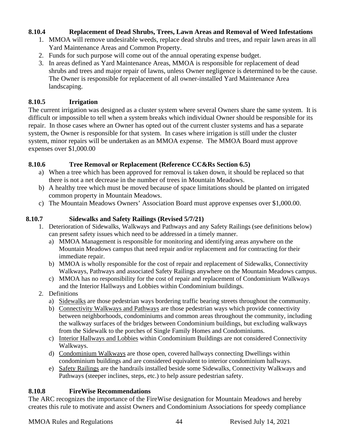### <span id="page-43-0"></span>**8.10.4 Replacement of Dead Shrubs, Trees, Lawn Areas and Removal of Weed Infestations**

- 1. MMOA will remove undesirable weeds, replace dead shrubs and trees, and repair lawn areas in all Yard Maintenance Areas and Common Property.
- 2. Funds for such purpose will come out of the annual operating expense budget.
- 3. In areas defined as Yard Maintenance Areas, MMOA is responsible for replacement of dead shrubs and trees and major repair of lawns, unless Owner negligence is determined to be the cause. The Owner is responsible for replacement of all owner-installed Yard Maintenance Area landscaping.

## <span id="page-43-1"></span>**8.10.5 Irrigation**

The current irrigation was designed as a cluster system where several Owners share the same system. It is difficult or impossible to tell when a system breaks which individual Owner should be responsible for its repair. In those cases where an Owner has opted out of the current cluster systems and has a separate system, the Owner is responsible for that system. In cases where irrigation is still under the cluster system, minor repairs will be undertaken as an MMOA expense. The MMOA Board must approve expenses over \$1,000.00

## <span id="page-43-2"></span>**8.10.6 Tree Removal or Replacement (Reference CC&Rs Section 6.5)**

- a) When a tree which has been approved for removal is taken down, it should be replaced so that there is not a net decrease in the number of trees in Mountain Meadows.
- b) A healthy tree which must be moved because of space limitations should be planted on irrigated common property in Mountain Meadows.
- c) The Mountain Meadows Owners' Association Board must approve expenses over \$1,000.00.

## **8.10.7 Sidewalks and Safety Railings (Revised 5/7/21)**

- <span id="page-43-3"></span>1. Deterioration of Sidewalks, Walkways and Pathways and any Safety Railings (see definitions below) can present safety issues which need to be addressed in a timely manner.
	- a) MMOA Management is responsible for monitoring and identifying areas anywhere on the Mountain Meadows campus that need repair and/or replacement and for contracting for their immediate repair.
	- b) MMOA is wholly responsible for the cost of repair and replacement of Sidewalks, Connectivity Walkways, Pathways and associated Safety Railings anywhere on the Mountain Meadows campus.
	- c) MMOA has no responsibility for the cost of repair and replacement of Condominium Walkways and the Interior Hallways and Lobbies within Condominium buildings.
- 2. Definitions
	- a) Sidewalks are those pedestrian ways bordering traffic bearing streets throughout the community.
	- b) Connectivity Walkways and Pathways are those pedestrian ways which provide connectivity between neighborhoods, condominiums and common areas throughout the community, including the walkway surfaces of the bridges between Condominium buildings, but excluding walkways from the Sidewalk to the porches of Single Family Homes and Condominiums.
	- c) Interior Hallways and Lobbies within Condominium Buildings are not considered Connectivity Walkways.
	- d) Condominium Walkways are those open, covered hallways connecting Dwellings within condominium buildings and are considered equivalent to interior condominium hallways.
	- e) Safety Railings are the handrails installed beside some Sidewalks, Connectivity Walkways and Pathways (steeper inclines, steps, etc.) to help assure pedestrian safety.

#### <span id="page-43-4"></span>**8.10.8 FireWise Recommendations**

The ARC recognizes the importance of the FireWise designation for Mountain Meadows and hereby creates this rule to motivate and assist Owners and Condominium Associations for speedy compliance

MMOA Rules and Regulations 44 Revised July 14, 2021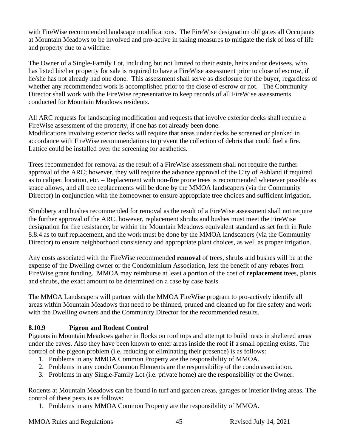with FireWise recommended landscape modifications. The FireWise designation obligates all Occupants at Mountain Meadows to be involved and pro-active in taking measures to mitigate the risk of loss of life and property due to a wildfire.

The Owner of a Single-Family Lot, including but not limited to their estate, heirs and/or devisees, who has listed his/her property for sale is required to have a FireWise assessment prior to close of escrow, if he/she has not already had one done. This assessment shall serve as disclosure for the buyer, regardless of whether any recommended work is accomplished prior to the close of escrow or not. The Community Director shall work with the FireWise representative to keep records of all FireWise assessments conducted for Mountain Meadows residents.

All ARC requests for landscaping modification and requests that involve exterior decks shall require a FireWise assessment of the property, if one has not already been done. Modifications involving exterior decks will require that areas under decks be screened or planked in accordance with FireWise recommendations to prevent the collection of debris that could fuel a fire. Lattice could be installed over the screening for aesthetics.

Trees recommended for removal as the result of a FireWise assessment shall not require the further approval of the ARC; however, they will require the advance approval of the City of Ashland if required as to caliper, location, etc. – Replacement with non-fire prone trees is recommended whenever possible as space allows, and all tree replacements will be done by the MMOA landscapers (via the Community Director) in conjunction with the homeowner to ensure appropriate tree choices and sufficient irrigation.

Shrubbery and bushes recommended for removal as the result of a FireWise assessment shall not require the further approval of the ARC, however, replacement shrubs and bushes must meet the FireWise designation for fire resistance, be within the Mountain Meadows equivalent standard as set forth in Rule 8.8.4 as to turf replacement, and the work must be done by the MMOA landscapers (via the Community Director) to ensure neighborhood consistency and appropriate plant choices, as well as proper irrigation.

Any costs associated with the FireWise recommended **removal** of trees, shrubs and bushes will be at the expense of the Dwelling owner or the Condominium Association, less the benefit of any rebates from FireWise grant funding. MMOA may reimburse at least a portion of the cost of **replacement** trees, plants and shrubs, the exact amount to be determined on a case by case basis.

The MMOA Landscapers will partner with the MMOA FireWise program to pro-actively identify all areas within Mountain Meadows that need to be thinned, pruned and cleaned up for fire safety and work with the Dwelling owners and the Community Director for the recommended results.

## <span id="page-44-0"></span>**8.10.9 Pigeon and Rodent Control**

Pigeons in Mountain Meadows gather in flocks on roof tops and attempt to build nests in sheltered areas under the eaves. Also they have been known to enter areas inside the roof if a small opening exists. The control of the pigeon problem (i.e. reducing or eliminating their presence) is as follows:

- 1. Problems in any MMOA Common Property are the responsibility of MMOA.
- 2. Problems in any condo Common Elements are the responsibility of the condo association.
- 3. Problems in any Single-Family Lot (i.e. private home) are the responsibility of the Owner.

Rodents at Mountain Meadows can be found in turf and garden areas, garages or interior living areas. The control of these pests is as follows:

1. Problems in any MMOA Common Property are the responsibility of MMOA.

MMOA Rules and Regulations 45 Revised July 14, 2021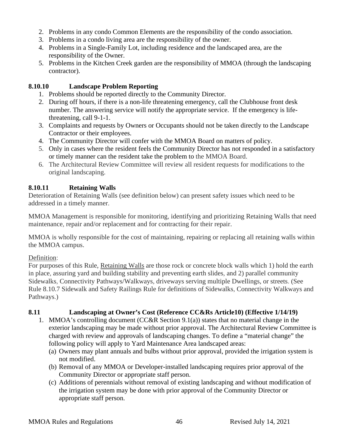- 2. Problems in any condo Common Elements are the responsibility of the condo association.
- 3. Problems in a condo living area are the responsibility of the owner.
- 4. Problems in a Single-Family Lot, including residence and the landscaped area, are the responsibility of the Owner.
- 5. Problems in the Kitchen Creek garden are the responsibility of MMOA (through the landscaping contractor).

## <span id="page-45-0"></span>**8.10.10 Landscape Problem Reporting**

- 1. Problems should be reported directly to the Community Director.
- 2. During off hours, if there is a non-life threatening emergency, call the Clubhouse front desk number. The answering service will notify the appropriate service. If the emergency is lifethreatening, call 9-1-1.
- 3. Complaints and requests by Owners or Occupants should not be taken directly to the Landscape Contractor or their employees.
- 4. The Community Director will confer with the MMOA Board on matters of policy.
- 5. Only in cases where the resident feels the Community Director has not responded in a satisfactory or timely manner can the resident take the problem to the MMOA Board.
- 6. The Architectural Review Committee will review all resident requests for modifications to the original landscaping.

## <span id="page-45-1"></span>**8.10.11 Retaining Walls**

Deterioration of Retaining Walls (see definition below) can present safety issues which need to be addressed in a timely manner.

MMOA Management is responsible for monitoring, identifying and prioritizing Retaining Walls that need maintenance, repair and/or replacement and for contracting for their repair.

MMOA is wholly responsible for the cost of maintaining, repairing or replacing all retaining walls within the MMOA campus.

## Definition:

For purposes of this Rule, Retaining Walls are those rock or concrete block walls which 1) hold the earth in place, assuring yard and building stability and preventing earth slides, and 2) parallel community Sidewalks, Connectivity Pathways/Walkways, driveways serving multiple Dwellings, or streets. (See Rule 8.10.7 Sidewalk and Safety Railings Rule for definitions of Sidewalks, Connectivity Walkways and Pathways.)

## <span id="page-45-2"></span>**8.11 Landscaping at Owner's Cost (Reference CC&Rs Article10) (Effective 1/14/19)**

- 1. MMOA's controlling document (CC&R Section  $9.1(a)$ ) states that no material change in the exterior landscaping may be made without prior approval. The Architectural Review Committee is charged with review and approvals of landscaping changes. To define a "material change" the following policy will apply to Yard Maintenance Area landscaped areas:
	- (a) Owners may plant annuals and bulbs without prior approval, provided the irrigation system is not modified.
	- (b) Removal of any MMOA or Developer-installed landscaping requires prior approval of the Community Director or appropriate staff person.
	- (c) Additions of perennials without removal of existing landscaping and without modification of the irrigation system may be done with prior approval of the Community Director or appropriate staff person.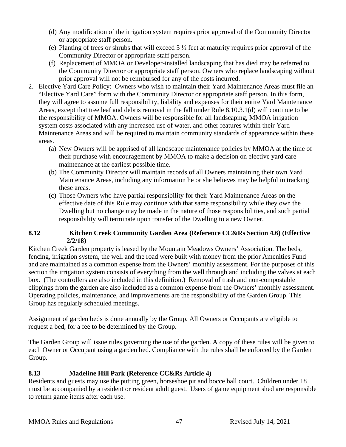- (d) Any modification of the irrigation system requires prior approval of the Community Director or appropriate staff person.
- (e) Planting of trees or shrubs that will exceed 3 ½ feet at maturity requires prior approval of the Community Director or appropriate staff person.
- (f) Replacement of MMOA or Developer-installed landscaping that has died may be referred to the Community Director or appropriate staff person. Owners who replace landscaping without prior approval will not be reimbursed for any of the costs incurred.
- 2. Elective Yard Care Policy: Owners who wish to maintain their Yard Maintenance Areas must file an "Elective Yard Care" form with the Community Director or appropriate staff person. In this form, they will agree to assume full responsibility, liability and expenses for their entire Yard Maintenance Areas, except that tree leaf and debris removal in the fall under Rule 8.10.3.1(d) will continue to be the responsibility of MMOA. Owners will be responsible for all landscaping, MMOA irrigation system costs associated with any increased use of water, and other features within their Yard Maintenance Areas and will be required to maintain community standards of appearance within these areas.
	- (a) New Owners will be apprised of all landscape maintenance policies by MMOA at the time of their purchase with encouragement by MMOA to make a decision on elective yard care maintenance at the earliest possible time.
	- (b) The Community Director will maintain records of all Owners maintaining their own Yard Maintenance Areas, including any information he or she believes may be helpful in tracking these areas.
	- (c) Those Owners who have partial responsibility for their Yard Maintenance Areas on the effective date of this Rule may continue with that same responsibility while they own the Dwelling but no change may be made in the nature of those responsibilities, and such partial responsibility will terminate upon transfer of the Dwelling to a new Owner.

## <span id="page-46-0"></span>**8.12 Kitchen Creek Community Garden Area (Reference CC&Rs Section 4.6) (Effective 2/2/18)**

Kitchen Creek Garden property is leased by the Mountain Meadows Owners' Association. The beds, fencing, irrigation system, the well and the road were built with money from the prior Amenities Fund and are maintained as a common expense from the Owners' monthly assessment. For the purposes of this section the irrigation system consists of everything from the well through and including the valves at each box. (The controllers are also included in this definition.) Removal of trash and non-compostable clippings from the garden are also included as a common expense from the Owners' monthly assessment. Operating policies, maintenance, and improvements are the responsibility of the Garden Group. This Group has regularly scheduled meetings.

Assignment of garden beds is done annually by the Group. All Owners or Occupants are eligible to request a bed, for a fee to be determined by the Group.

The Garden Group will issue rules governing the use of the garden. A copy of these rules will be given to each Owner or Occupant using a garden bed. Compliance with the rules shall be enforced by the Garden Group.

## <span id="page-46-1"></span>**8.13 Madeline Hill Park (Reference CC&Rs Article 4)**

Residents and guests may use the putting green, horseshoe pit and bocce ball court. Children under 18 must be accompanied by a resident or resident adult guest. Users of game equipment shed are responsible to return game items after each use.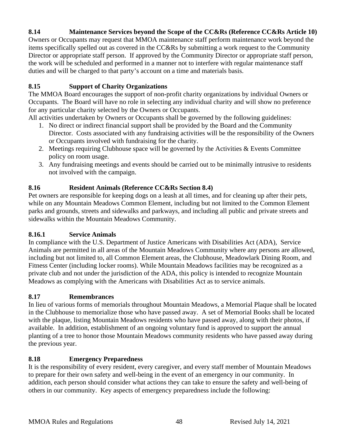## <span id="page-47-0"></span>**8.14 Maintenance Services beyond the Scope of the CC&Rs (Reference CC&Rs Article 10)**

Owners or Occupants may request that MMOA maintenance staff perform maintenance work beyond the items specifically spelled out as covered in the CC&Rs by submitting a work request to the Community Director or appropriate staff person. If approved by the Community Director or appropriate staff person, the work will be scheduled and performed in a manner not to interfere with regular maintenance staff duties and will be charged to that party's account on a time and materials basis.

#### <span id="page-47-1"></span>**8.15 Support of Charity Organizations**

The MMOA Board encourages the support of non-profit charity organizations by individual Owners or Occupants. The Board will have no role in selecting any individual charity and will show no preference for any particular charity selected by the Owners or Occupants.

All activities undertaken by Owners or Occupants shall be governed by the following guidelines:

- 1. No direct or indirect financial support shall be provided by the Board and the Community Director. Costs associated with any fundraising activities will be the responsibility of the Owners or Occupants involved with fundraising for the charity.
- 2. Meetings requiring Clubhouse space will be governed by the Activities & Events Committee policy on room usage.
- 3. Any fundraising meetings and events should be carried out to be minimally intrusive to residents not involved with the campaign.

## <span id="page-47-2"></span>**8.16 Resident Animals (Reference CC&Rs Section 8.4)**

Pet owners are responsible for keeping dogs on a leash at all times, and for cleaning up after their pets, while on any Mountain Meadows Common Element, including but not limited to the Common Element parks and grounds, streets and sidewalks and parkways, and including all public and private streets and sidewalks within the Mountain Meadows Community.

#### <span id="page-47-3"></span>**8.16.1 Service Animals**

In compliance with the U.S. Department of Justice Americans with Disabilities Act (ADA), Service Animals are permitted in all areas of the Mountain Meadows Community where any persons are allowed, including but not limited to, all Common Element areas, the Clubhouse, Meadowlark Dining Room, and Fitness Center (including locker rooms). While Mountain Meadows facilities may be recognized as a private club and not under the jurisdiction of the ADA, this policy is intended to recognize Mountain Meadows as complying with the Americans with Disabilities Act as to service animals.

#### <span id="page-47-4"></span>**8.17 Remembrances**

In lieu of various forms of memorials throughout Mountain Meadows, a Memorial Plaque shall be located in the Clubhouse to memorialize those who have passed away. A set of Memorial Books shall be located with the plaque, listing Mountain Meadows residents who have passed away, along with their photos, if available. In addition, establishment of an ongoing voluntary fund is approved to support the annual planting of a tree to honor those Mountain Meadows community residents who have passed away during the previous year.

## <span id="page-47-5"></span>**8.18 Emergency Preparedness**

It is the responsibility of every resident, every caregiver, and every staff member of Mountain Meadows to prepare for their own safety and well-being in the event of an emergency in our community. In addition, each person should consider what actions they can take to ensure the safety and well-being of others in our community. Key aspects of emergency preparedness include the following: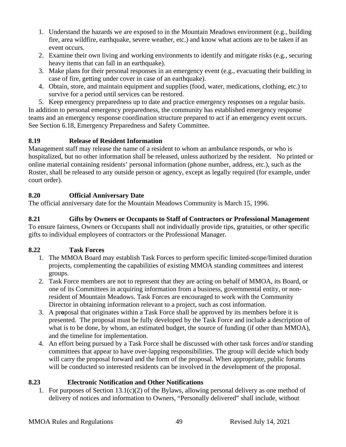- 1. Understand the hazards we are exposed to in the Mountain Meadows environment (e.g., building fire, area wildfire, earthquake, severe weather, etc.) and know what actions are to be taken if an event occurs.
- 2. Examine their own living and working environments to identify and mitigate risks (e.g., securing heavy items that can fall in an earthquake).
- 3. Make plans for their personal responses in an emergency event (e.g., evacuating their building in case of fire, getting under cover in case of an earthquake).
- 4. Obtain, store, and maintain equipment and supplies (food, water, medications, clothing, etc.) to survive for a period until services can be restored.

5. Keep emergency preparedness up to date and practice emergency responses on a regular basis. In addition to personal emergency preparedness, the community has established emergency response teams and an emergency response coordination structure prepared to act if an emergency event occurs. See Section 6.18, Emergency Preparedness and Safety Committee.

## <span id="page-48-0"></span>**8.19 Release of Resident Information**

Management staff may release the name of a resident to whom an ambulance responds, or who is hospitalized, but no other information shall be released, unless authorized by the resident. No printed or online material containing residents' personal information (phone number, address, etc.), such as the Roster, shall be released to any outside person or agency, except as legally required (for example, under court order).

## <span id="page-48-1"></span>**8.20 Official Anniversary Date**

The official anniversary date for the Mountain Meadows Community is March 15, 1996.

#### <span id="page-48-2"></span>**8.21 Gifts by Owners or Occupants to Staff of Contractors or Professional Management** To ensure fairness, Owners or Occupants shall not individually provide tips, gratuities, or other specific gifts to individual employees of contractors or the Professional Manager.

## <span id="page-48-3"></span>**8.22 Task Forces**

- 1. The MMOA Board may establish Task Forces to perform specific limited-scope/limited duration projects, complementing the capabilities of existing MMOA standing committees and interest groups.
- 2. Task Force members are not to represent that they are acting on behalf of MMOA, its Board, or one of its Committees in acquiring information from a business, governmental entity, or nonresident of Mountain Meadows. Task Forces are encouraged to work with the Community Director in obtaining information relevant to a project, such as cost information.
- 3. A pr**o**posal that originates within a Task Force shall be approved by its members before it is presented. The proposal must be fully developed by the Task Force and include a description of what is to be done, by whom, an estimated budget, the source of funding (if other than MMOA), and the timeline for implementation.
- 4. An effort being pursued by a Task Force shall be discussed with other task forces and/or standing committees that appear to have over-lapping responsibilities. The group will decide which body will carry the proposal forward and the form of the proposal. When appropriate, public forums will be conducted so interested residents can be involved in the development of the proposal.

## <span id="page-48-4"></span>**8.23 Electronic Notification and Other Notifications**

1. For purposes of Section 13.1(c)(2) of the Bylaws, allowing personal delivery as one method of delivery of notices and information to Owners, "Personally delivered" shall include, without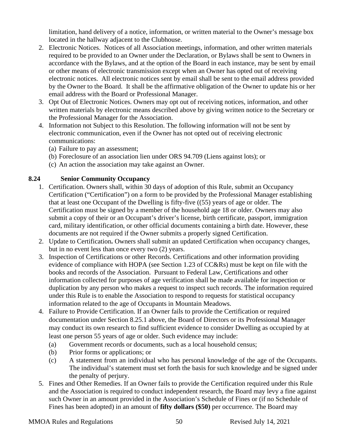limitation, hand delivery of a notice, information, or written material to the Owner's message box located in the hallway adjacent to the Clubhouse.

- 2. Electronic Notices. Notices of all Association meetings, information, and other written materials required to be provided to an Owner under the Declaration, or Bylaws shall be sent to Owners in accordance with the Bylaws, and at the option of the Board in each instance, may be sent by email or other means of electronic transmission except when an Owner has opted out of receiving electronic notices. All electronic notices sent by email shall be sent to the email address provided by the Owner to the Board. It shall be the affirmative obligation of the Owner to update his or her email address with the Board or Professional Manager.
- 3. Opt Out of Electronic Notices. Owners may opt out of receiving notices, information, and other written materials by electronic means described above by giving written notice to the Secretary or the Professional Manager for the Association.
- 4. Information not Subject to this Resolution. The following information will not be sent by electronic communication, even if the Owner has not opted out of receiving electronic communications:
	- (a) Failure to pay an assessment;
	- (b) Foreclosure of an association lien under ORS 94.709 (Liens against lots); or
	- (c) An action the association may take against an Owner.

## <span id="page-49-0"></span>**8.24 Senior Community Occupancy**

- 1. Certification. Owners shall, within 30 days of adoption of this Rule, submit an Occupancy Certification ("Certification") on a form to be provided by the Professional Manager establishing that at least one Occupant of the Dwelling is fifty-five ((55) years of age or older. The Certification must be signed by a member of the household age 18 or older. Owners may also submit a copy of their or an Occupant's driver's license, birth certificate, passport, immigration card, military identification, or other official documents containing a birth date. However, these documents are not required if the Owner submits a properly signed Certification.
- 2. Update to Certification**.** Owners shall submit an updated Certification when occupancy changes, but in no event less than once every two (2) years.
- 3. Inspection of Certifications or other Records. Certifications and other information providing evidence of compliance with HOPA (see Section 1.23 of CC&Rs) must be kept on file with the books and records of the Association. Pursuant to Federal Law, Certifications and other information collected for purposes of age verification shall be made available for inspection or duplication by any person who makes a request to inspect such records. The information required under this Rule is to enable the Association to respond to requests for statistical occupancy information related to the age of Occupants in Mountain Meadows.
- 4. Failure to Provide Certification. If an Owner fails to provide the Certification or required documentation under Section 8.25.1 above, the Board of Directors or its Professional Manager may conduct its own research to find sufficient evidence to consider Dwelling as occupied by at least one person 55 years of age or older. Such evidence may include:
	- (a) Government records or documents, such as a local household census;
	- (b) Prior forms or applications; or
	- (c) A statement from an individual who has personal knowledge of the age of the Occupants. The individual's statement must set forth the basis for such knowledge and be signed under the penalty of perjury.
- 5. Fines and Other Remedies. If an Owner fails to provide the Certification required under this Rule and the Association is required to conduct independent research, the Board may levy a fine against such Owner in an amount provided in the Association's Schedule of Fines or (if no Schedule of Fines has been adopted) in an amount of **fifty dollars (\$50)** per occurrence. The Board may

#### MMOA Rules and Regulations 50 Revised July 14, 2021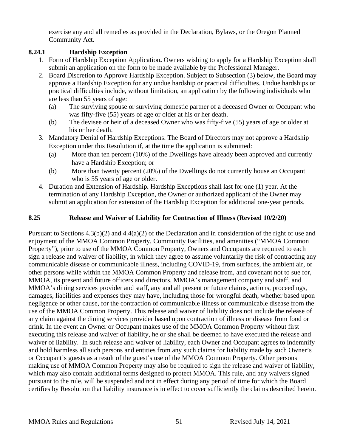exercise any and all remedies as provided in the Declaration, Bylaws, or the Oregon Planned Community Act.

## <span id="page-50-0"></span>**8.24.1 Hardship Exception**

- 1. Form of Hardship Exception Application**.** Owners wishing to apply for a Hardship Exception shall submit an application on the form to be made available by the Professional Manager.
- 2. Board Discretion to Approve Hardship Exception. Subject to Subsection (3) below, the Board may approve a Hardship Exception for any undue hardship or practical difficulties. Undue hardships or practical difficulties include, without limitation, an application by the following individuals who are less than 55 years of age:
	- (a) The surviving spouse or surviving domestic partner of a deceased Owner or Occupant who was fifty-five (55) years of age or older at his or her death.
	- (b) The devisee or heir of a deceased Owner who was fifty-five (55) years of age or older at his or her death.
- 3. Mandatory Denial of Hardship Exceptions. The Board of Directors may not approve a Hardship Exception under this Resolution if, at the time the application is submitted:
	- (a) More than ten percent (10%) of the Dwellings have already been approved and currently have a Hardship Exception; or
	- (b) More than twenty percent (20%) of the Dwellings do not currently house an Occupant who is 55 years of age or older.
- 4. Duration and Extension of Hardship**.** Hardship Exceptions shall last for one (1) year. At the termination of any Hardship Exception, the Owner or authorized applicant of the Owner may submit an application for extension of the Hardship Exception for additional one-year periods.

## <span id="page-50-1"></span>**8.25 Release and Waiver of Liability for Contraction of Illness (Revised 10/2/20)**

Pursuant to Sections 4.3(b)(2) and 4.4(a)(2) of the Declaration and in consideration of the right of use and enjoyment of the MMOA Common Property, Community Facilities, and amenities ("MMOA Common Property"), prior to use of the MMOA Common Property, Owners and Occupants are required to each sign a release and waiver of liability, in which they agree to assume voluntarily the risk of contracting any communicable disease or communicable illness, including COVID-19, from surfaces, the ambient air, or other persons while within the MMOA Common Property and release from, and covenant not to sue for, MMOA, its present and future officers and directors, MMOA's management company and staff, and MMOA's dining services provider and staff, any and all present or future claims, actions, proceedings, damages, liabilities and expenses they may have, including those for wrongful death, whether based upon negligence or other cause, for the contraction of communicable illness or communicable disease from the use of the MMOA Common Property. This release and waiver of liability does not include the release of any claim against the dining services provider based upon contraction of illness or disease from food or drink. In the event an Owner or Occupant makes use of the MMOA Common Property without first executing this release and waiver of liability, he or she shall be deemed to have executed the release and waiver of liability. In such release and waiver of liability, each Owner and Occupant agrees to indemnify and hold harmless all such persons and entities from any such claims for liability made by such Owner's or Occupant's guests as a result of the guest's use of the MMOA Common Property. Other persons making use of MMOA Common Property may also be required to sign the release and waiver of liability, which may also contain additional terms designed to protect MMOA. This rule, and any waivers signed pursuant to the rule, will be suspended and not in effect during any period of time for which the Board certifies by Resolution that liability insurance is in effect to cover sufficiently the claims described herein.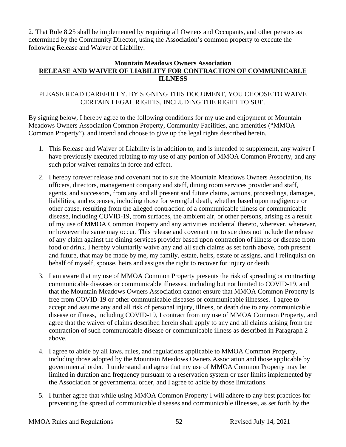2. That Rule 8.25 shall be implemented by requiring all Owners and Occupants, and other persons as determined by the Community Director, using the Association's common property to execute the following Release and Waiver of Liability:

#### **Mountain Meadows Owners Association RELEASE AND WAIVER OF LIABILITY FOR CONTRACTION OF COMMUNICABLE ILLNESS**

### PLEASE READ CAREFULLY. BY SIGNING THIS DOCUMENT, YOU CHOOSE TO WAIVE CERTAIN LEGAL RIGHTS, INCLUDING THE RIGHT TO SUE.

By signing below, I hereby agree to the following conditions for my use and enjoyment of Mountain Meadows Owners Association Common Property, Community Facilities, and amenities ("MMOA Common Property"), and intend and choose to give up the legal rights described herein.

- 1. This Release and Waiver of Liability is in addition to, and is intended to supplement, any waiver I have previously executed relating to my use of any portion of MMOA Common Property, and any such prior waiver remains in force and effect.
- 2. I hereby forever release and covenant not to sue the Mountain Meadows Owners Association, its officers, directors, management company and staff, dining room services provider and staff, agents, and successors, from any and all present and future claims, actions, proceedings, damages, liabilities, and expenses, including those for wrongful death, whether based upon negligence or other cause, resulting from the alleged contraction of a communicable illness or communicable disease, including COVID-19, from surfaces, the ambient air, or other persons, arising as a result of my use of MMOA Common Property and any activities incidental thereto, wherever, whenever, or however the same may occur. This release and covenant not to sue does not include the release of any claim against the dining services provider based upon contraction of illness or disease from food or drink. I hereby voluntarily waive any and all such claims as set forth above, both present and future, that may be made by me, my family, estate, heirs, estate or assigns, and I relinquish on behalf of myself, spouse, heirs and assigns the right to recover for injury or death.
- 3. I am aware that my use of MMOA Common Property presents the risk of spreading or contracting communicable diseases or communicable illnesses, including but not limited to COVID-19, and that the Mountain Meadows Owners Association cannot ensure that MMOA Common Property is free from COVID-19 or other communicable diseases or communicable illnesses. I agree to accept and assume any and all risk of personal injury, illness, or death due to any communicable disease or illness, including COVID-19, I contract from my use of MMOA Common Property, and agree that the waiver of claims described herein shall apply to any and all claims arising from the contraction of such communicable disease or communicable illness as described in Paragraph 2 above.
- 4. I agree to abide by all laws, rules, and regulations applicable to MMOA Common Property, including those adopted by the Mountain Meadows Owners Association and those applicable by governmental order. I understand and agree that my use of MMOA Common Property may be limited in duration and frequency pursuant to a reservation system or user limits implemented by the Association or governmental order, and I agree to abide by those limitations.
- 5. I further agree that while using MMOA Common Property I will adhere to any best practices for preventing the spread of communicable diseases and communicable illnesses, as set forth by the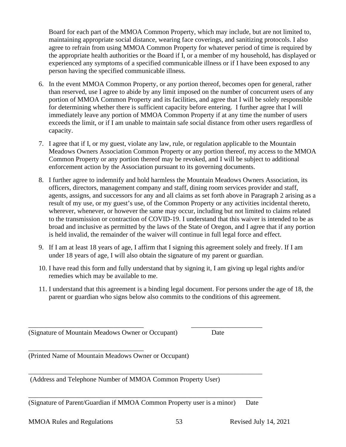Board for each part of the MMOA Common Property, which may include, but are not limited to, maintaining appropriate social distance, wearing face coverings, and sanitizing protocols. I also agree to refrain from using MMOA Common Property for whatever period of time is required by the appropriate health authorities or the Board if I, or a member of my household, has displayed or experienced any symptoms of a specified communicable illness or if I have been exposed to any person having the specified communicable illness.

- 6. In the event MMOA Common Property, or any portion thereof, becomes open for general, rather than reserved, use I agree to abide by any limit imposed on the number of concurrent users of any portion of MMOA Common Property and its facilities, and agree that I will be solely responsible for determining whether there is sufficient capacity before entering. I further agree that I will immediately leave any portion of MMOA Common Property if at any time the number of users exceeds the limit, or if I am unable to maintain safe social distance from other users regardless of capacity.
- 7. I agree that if I, or my guest, violate any law, rule, or regulation applicable to the Mountain Meadows Owners Association Common Property or any portion thereof, my access to the MMOA Common Property or any portion thereof may be revoked, and I will be subject to additional enforcement action by the Association pursuant to its governing documents.
- 8. I further agree to indemnify and hold harmless the Mountain Meadows Owners Association, its officers, directors, management company and staff, dining room services provider and staff, agents, assigns, and successors for any and all claims as set forth above in Paragraph 2 arising as a result of my use, or my guest's use, of the Common Property or any activities incidental thereto, wherever, whenever, or however the same may occur, including but not limited to claims related to the transmission or contraction of COVID-19. I understand that this waiver is intended to be as broad and inclusive as permitted by the laws of the State of Oregon, and I agree that if any portion is held invalid, the remainder of the waiver will continue in full legal force and effect.
- 9. If I am at least 18 years of age, I affirm that I signing this agreement solely and freely. If I am under 18 years of age, I will also obtain the signature of my parent or guardian.
- 10. I have read this form and fully understand that by signing it, I am giving up legal rights and/or remedies which may be available to me.
- 11. I understand that this agreement is a binding legal document. For persons under the age of 18, the parent or guardian who signs below also commits to the conditions of this agreement.

(Signature of Mountain Meadows Owner or Occupant) Date

\_\_\_\_\_\_\_\_\_\_\_\_\_\_\_\_\_\_\_\_\_\_\_\_\_\_\_\_\_\_\_\_\_\_

(Printed Name of Mountain Meadows Owner or Occupant)

\_\_\_\_\_\_\_\_\_\_\_\_\_\_\_\_\_\_\_\_\_\_\_\_\_\_\_\_\_\_\_\_\_\_\_\_\_\_\_\_\_\_\_\_\_\_\_\_\_\_\_\_\_\_\_\_\_\_\_\_\_\_\_\_\_\_\_\_\_ (Address and Telephone Number of MMOA Common Property User)

\_\_\_\_\_\_\_\_\_\_\_\_\_\_\_\_\_\_\_\_\_\_\_\_\_\_\_\_\_\_\_\_\_\_\_\_\_\_\_\_\_\_\_\_\_\_\_\_\_\_\_\_\_\_\_\_\_\_\_\_\_\_\_\_\_\_\_\_\_ (Signature of Parent/Guardian if MMOA Common Property user is a minor) Date

\_\_\_\_\_\_\_\_\_\_\_\_\_\_\_\_\_\_\_\_\_\_\_\_\_\_\_\_\_\_\_\_\_\_ \_\_\_\_\_\_\_\_\_\_\_\_\_\_\_\_\_\_\_\_\_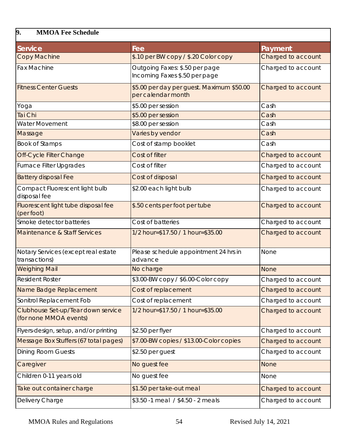## <span id="page-53-0"></span>**9. MMOA Fee Schedule**

| <b>Service</b>                                               | Fee                                                             | Payment            |
|--------------------------------------------------------------|-----------------------------------------------------------------|--------------------|
| <b>Copy Machine</b>                                          | \$.10 per BW copy / \$.20 Color copy                            | Charged to account |
| <b>Fax Machine</b>                                           | Outgoing Faxes: \$.50 per page<br>Incoming Faxes \$.50 per page | Charged to account |
| <b>Fitness Center Guests</b>                                 | \$5.00 per day per guest. Maximum \$50.00<br>per calendar month | Charged to account |
| Yoga                                                         | \$5.00 per session                                              | Cash               |
| Tai Chi                                                      | \$5.00 per session                                              | Cash               |
| <b>Water Movement</b>                                        | \$8.00 per session                                              | Cash               |
| Massage                                                      | Varies by vendor                                                | Cash               |
| <b>Book of Stamps</b>                                        | Cost of stamp booklet                                           | Cash               |
| Off-Cycle Filter Change                                      | Cost of filter                                                  | Charged to account |
| <b>Furnace Filter Upgrades</b>                               | Cost of filter                                                  | Charged to account |
| <b>Battery disposal Fee</b>                                  | Cost of disposal                                                | Charged to account |
| Compact Fluorescent light bulb<br>disposal fee               | \$2.00 each light bulb                                          | Charged to account |
| Fluorescent light tube disposal fee<br>(per foot)            | \$.50 cents per foot per tube                                   | Charged to account |
| Smoke detector batteries                                     | Cost of batteries                                               | Charged to account |
| Maintenance & Staff Services                                 | 1/2 hour=\$17.50 / 1 hour=\$35.00                               | Charged to account |
| Notary Services (except real estate<br>transactions)         | Please schedule appointment 24 hrs in<br>advance                | None               |
| <b>Weighing Mail</b>                                         | No charge                                                       | <b>None</b>        |
| <b>Resident Roster</b>                                       | \$3.00-BW copy / \$6.00-Color copy                              | Charged to account |
| Name Badge Replacement                                       | Cost of replacement                                             | Charged to account |
| Sonitrol Replacement Fob                                     | Cost of replacement                                             | Charged to account |
| Clubhouse Set-up/Tear down service<br>(for none MMOA events) | 1/2 hour=\$17.50 / 1 hour=\$35.00                               | Charged to account |
| Flyers-design, setup, and/or printing                        | \$2.50 per flyer                                                | Charged to account |
| Message Box Stuffers (67 total pages)                        | \$7.00-BW copies / \$13.00-Color copies                         | Charged to account |
| <b>Dining Room Guests</b>                                    | \$2.50 per guest                                                | Charged to account |
| Caregiver                                                    | No guest fee                                                    | <b>None</b>        |
| Children 0-11 years old                                      | No guest fee                                                    | None               |
| Take out container charge                                    | \$1.50 per take-out meal                                        | Charged to account |
| Delivery Charge                                              | \$3.50 -1 meal / \$4.50 - 2 meals                               | Charged to account |